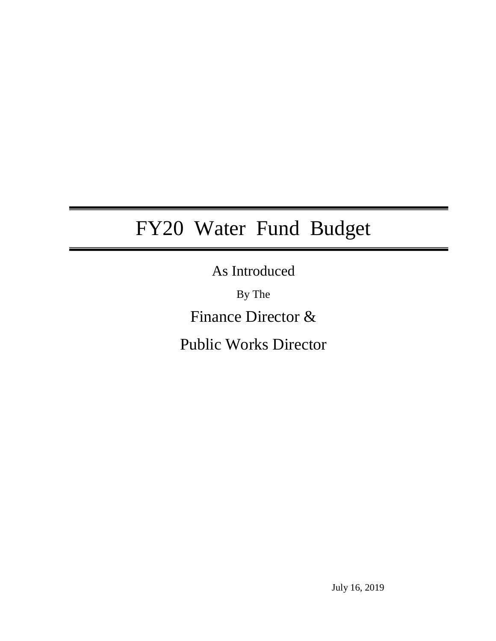# FY20 Water Fund Budget

As Introduced

By The Finance Director &

Public Works Director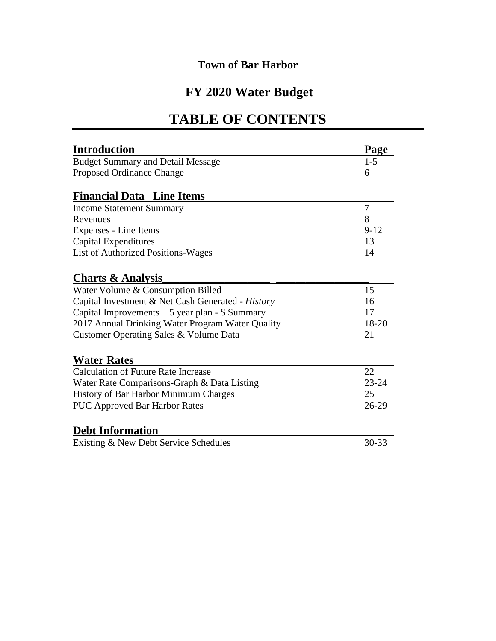# **FY 2020 Water Budget**

# **TABLE OF CONTENTS**

| <b>Introduction</b>                               | Page      |
|---------------------------------------------------|-----------|
| <b>Budget Summary and Detail Message</b>          | $1 - 5$   |
| Proposed Ordinance Change                         | 6         |
| <b>Financial Data – Line Items</b>                |           |
| <b>Income Statement Summary</b>                   | 7         |
| Revenues                                          | 8         |
| Expenses - Line Items                             | $9 - 12$  |
| Capital Expenditures                              | 13        |
| List of Authorized Positions-Wages                | 14        |
| <b>Charts &amp; Analysis</b>                      |           |
| Water Volume & Consumption Billed                 | 15        |
| Capital Investment & Net Cash Generated - History | 16        |
| Capital Improvements $-5$ year plan - \$ Summary  | 17        |
| 2017 Annual Drinking Water Program Water Quality  | 18-20     |
| Customer Operating Sales & Volume Data            | 21        |
| <b>Water Rates</b>                                |           |
| <b>Calculation of Future Rate Increase</b>        | 22        |
| Water Rate Comparisons-Graph & Data Listing       | $23 - 24$ |
| History of Bar Harbor Minimum Charges             | 25        |
| <b>PUC Approved Bar Harbor Rates</b>              | 26-29     |
| <b>Debt Information</b>                           |           |
| Existing & New Debt Service Schedules             | 30-33     |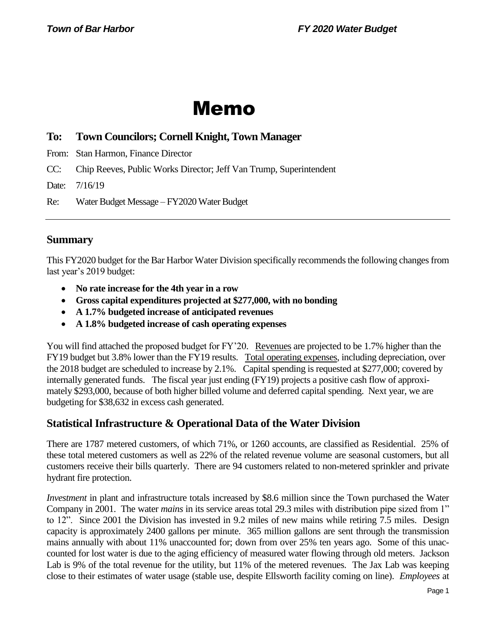# Memo

# **To: Town Councilors; Cornell Knight, Town Manager**

From: Stan Harmon, Finance Director

CC: Chip Reeves, Public Works Director; Jeff Van Trump, Superintendent

Date: 7/16/19

Re: Water Budget Message – FY2020 Water Budget

# **Summary**

This FY2020 budget for the Bar Harbor Water Division specifically recommends the following changes from last year's 2019 budget:

- **No rate increase for the 4th year in a row**
- **Gross capital expenditures projected at \$277,000, with no bonding**
- **A 1.7% budgeted increase of anticipated revenues**
- **A 1.8% budgeted increase of cash operating expenses**

You will find attached the proposed budget for FY'20. Revenues are projected to be 1.7% higher than the FY19 budget but 3.8% lower than the FY19 results. Total operating expenses, including depreciation, over the 2018 budget are scheduled to increase by 2.1%. Capital spending is requested at \$277,000; covered by internally generated funds. The fiscal year just ending (FY19) projects a positive cash flow of approximately \$293,000, because of both higher billed volume and deferred capital spending. Next year, we are budgeting for \$38,632 in excess cash generated.

# **Statistical Infrastructure & Operational Data of the Water Division**

There are 1787 metered customers, of which 71%, or 1260 accounts, are classified as Residential. 25% of these total metered customers as well as 22% of the related revenue volume are seasonal customers, but all customers receive their bills quarterly. There are 94 customers related to non-metered sprinkler and private hydrant fire protection.

*Investment* in plant and infrastructure totals increased by \$8.6 million since the Town purchased the Water Company in 2001. The water *mains* in its service areas total 29.3 miles with distribution pipe sized from 1" to 12". Since 2001 the Division has invested in 9.2 miles of new mains while retiring 7.5 miles. Design capacity is approximately 2400 gallons per minute. 365 million gallons are sent through the transmission mains annually with about 11% unaccounted for; down from over 25% ten years ago. Some of this unaccounted for lost water is due to the aging efficiency of measured water flowing through old meters. Jackson Lab is 9% of the total revenue for the utility, but 11% of the metered revenues. The Jax Lab was keeping close to their estimates of water usage (stable use, despite Ellsworth facility coming on line). *Employees* at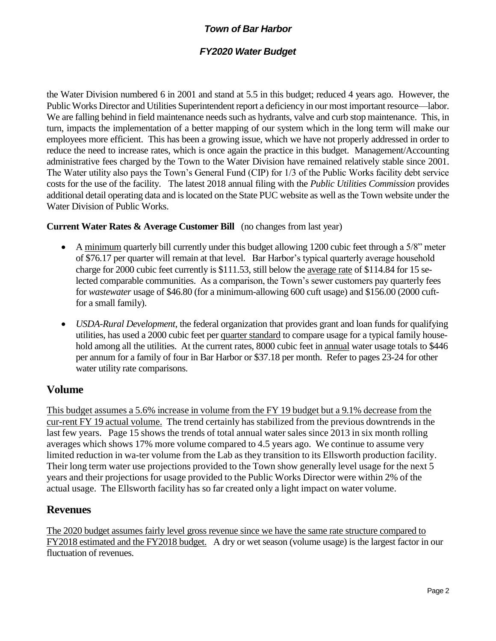## *FY2020 Water Budget*

the Water Division numbered 6 in 2001 and stand at 5.5 in this budget; reduced 4 years ago. However, the Public Works Director and Utilities Superintendent report a deficiency in our most important resource—labor. We are falling behind in field maintenance needs such as hydrants, valve and curb stop maintenance. This, in turn, impacts the implementation of a better mapping of our system which in the long term will make our employees more efficient. This has been a growing issue, which we have not properly addressed in order to reduce the need to increase rates, which is once again the practice in this budget. Management/Accounting administrative fees charged by the Town to the Water Division have remained relatively stable since 2001. The Water utility also pays the Town's General Fund (CIP) for 1/3 of the Public Works facility debt service costs for the use of the facility.The latest 2018 annual filing with the *Public Utilities Commission* provides additional detail operating data and is located on the State PUC website as well asthe Town website under the Water Division of Public Works.

## **Current Water Rates & Average Customer Bill** (no changes from last year)

- A minimum quarterly bill currently under this budget allowing 1200 cubic feet through a 5/8" meter of \$76.17 per quarter will remain at that level. Bar Harbor's typical quarterly average household charge for 2000 cubic feet currently is \$111.53, still below the average rate of \$114.84 for 15 selected comparable communities. As a comparison, the Town's sewer customers pay quarterly fees for *wastewater* usage of \$46.80 (for a minimum-allowing 600 cuft usage) and \$156.00 (2000 cuftfor a small family).
- *USDA-Rural Development*, the federal organization that provides grant and loan funds for qualifying utilities, has used a 2000 cubic feet per quarter standard to compare usage for a typical family household among all the utilities. At the current rates, 8000 cubic feet in annual water usage totals to \$446 per annum for a family of four in Bar Harbor or \$37.18 per month. Refer to pages 23-24 for other water utility rate comparisons.

# **Volume**

This budget assumes a 5.6% increase in volume from the FY 19 budget but a 9.1% decrease from the cur-rent FY 19 actual volume. The trend certainly has stabilized from the previous downtrends in the last few years. Page 15 shows the trends of total annual water sales since 2013 in six month rolling averages which shows 17% more volume compared to 4.5 years ago. We continue to assume very limited reduction in wa-ter volume from the Lab as they transition to its Ellsworth production facility. Their long term water use projections provided to the Town show generally level usage for the next 5 years and their projections for usage provided to the Public Works Director were within 2% of the actual usage. The Ellsworth facility has so far created only a light impact on water volume.

## **Revenues**

The 2020 budget assumes fairly level gross revenue since we have the same rate structure compared to FY2018 estimated and the FY2018 budget. A dry or wet season (volume usage) is the largest factor in our fluctuation of revenues.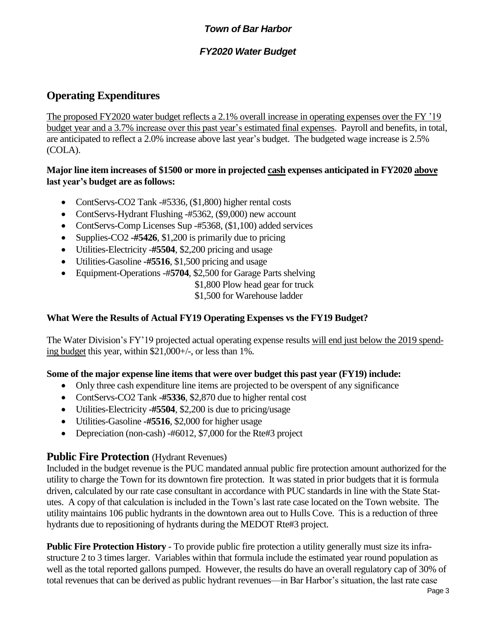# *FY2020 Water Budget*

# **Operating Expenditures**

The proposed FY2020 water budget reflects a 2.1% overall increase in operating expenses over the FY '19 budget year and a 3.7% increase over this past year's estimated final expenses. Payroll and benefits, in total, are anticipated to reflect a 2.0% increase above last year's budget. The budgeted wage increase is 2.5% (COLA).

## **Major line item increases of \$1500 or more in projected cash expenses anticipated in FY2020 above last year's budget are as follows:**

- ContServs-CO2 Tank -#5336, (\$1,800) higher rental costs
- ContServs-Hydrant Flushing -#5362, (\$9,000) new account
- ContServs-Comp Licenses Sup -#5368, (\$1,100) added services
- Supplies-CO2 -#5426, \$1,200 is primarily due to pricing
- Utilities-Electricity -**#5504**, \$2,200 pricing and usage
- Utilities-Gasoline **-#5516**, \$1,500 pricing and usage
- Equipment-Operations -#**5704**, \$2,500 for Garage Parts shelving
	- \$1,800 Plow head gear for truck
	- \$1,500 for Warehouse ladder

## **What Were the Results of Actual FY19 Operating Expenses vs the FY19 Budget?**

The Water Division's FY'19 projected actual operating expense results will end just below the 2019 spending budget this year, within \$21,000+/-, or less than 1%.

## **Some of the major expense line items that were over budget this past year (FY19) include:**

- Only three cash expenditure line items are projected to be overspent of any significance
- ContServs-CO2 Tank **-#5336**, \$2,870 due to higher rental cost
- Utilities-Electricity **-#5504**, \$2,200 is due to pricing/usage
- Utilities-Gasoline **-#5516**, \$2,000 for higher usage
- Depreciation (non-cash) -#6012, \$7,000 for the Rte#3 project

# **Public Fire Protection** *(Hydrant Revenues)*

Included in the budget revenue is the PUC mandated annual public fire protection amount authorized for the utility to charge the Town for its downtown fire protection. It was stated in prior budgets that it is formula driven, calculated by our rate case consultant in accordance with PUC standards in line with the State Statutes. A copy of that calculation is included in the Town's last rate case located on the Town website. The utility maintains 106 public hydrants in the downtown area out to Hulls Cove. This is a reduction of three hydrants due to repositioning of hydrants during the MEDOT Rte#3 project.

**Public Fire Protection History** - To provide public fire protection a utility generally must size its infrastructure 2 to 3 times larger. Variables within that formula include the estimated year round population as well as the total reported gallons pumped. However, the results do have an overall regulatory cap of 30% of total revenues that can be derived as public hydrant revenues—in Bar Harbor's situation, the last rate case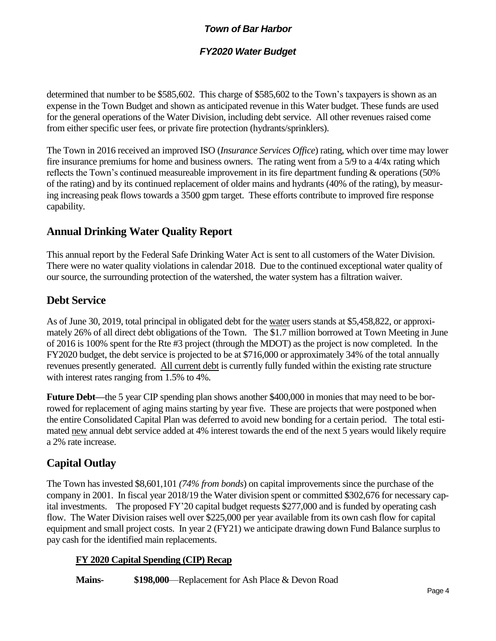## *FY2020 Water Budget*

determined that number to be \$585,602. This charge of \$585,602 to the Town's taxpayers is shown as an expense in the Town Budget and shown as anticipated revenue in this Water budget. These funds are used for the general operations of the Water Division, including debt service. All other revenues raised come from either specific user fees, or private fire protection (hydrants/sprinklers).

The Town in 2016 received an improved ISO (*Insurance Services Office*) rating, which over time may lower fire insurance premiums for home and business owners. The rating went from a 5/9 to a 4/4x rating which reflects the Town's continued measureable improvement in its fire department funding & operations (50% of the rating) and by its continued replacement of older mains and hydrants (40% of the rating), by measuring increasing peak flows towards a 3500 gpm target. These efforts contribute to improved fire response capability.

# **Annual Drinking Water Quality Report**

This annual report by the Federal Safe Drinking Water Act is sent to all customers of the Water Division. There were no water quality violations in calendar 2018. Due to the continued exceptional water quality of our source, the surrounding protection of the watershed, the water system has a filtration waiver.

# **Debt Service**

As of June 30, 2019, total principal in obligated debt for the water users stands at \$5,458,822, or approximately 26% of all direct debt obligations of the Town. The \$1.7 million borrowed at Town Meeting in June of 2016 is 100% spent for the Rte #3 project (through the MDOT) as the project is now completed. In the FY2020 budget, the debt service is projected to be at \$716,000 or approximately 34% of the total annually revenues presently generated. All current debt is currently fully funded within the existing rate structure with interest rates ranging from 1.5% to 4%.

**Future Debt—**the 5 year CIP spending plan shows another \$400,000 in monies that may need to be borrowed for replacement of aging mains starting by year five. These are projects that were postponed when the entire Consolidated Capital Plan was deferred to avoid new bonding for a certain period. The total estimated new annual debt service added at 4% interest towards the end of the next 5 years would likely require a 2% rate increase.

# **Capital Outlay**

The Town has invested \$8,601,101 *(74% from bonds*) on capital improvements since the purchase of the company in 2001. In fiscal year 2018/19 the Water division spent or committed \$302,676 for necessary capital investments. The proposed FY'20 capital budget requests \$277,000 and is funded by operating cash flow. The Water Division raises well over \$225,000 per year available from its own cash flow for capital equipment and small project costs. In year 2 (FY21) we anticipate drawing down Fund Balance surplus to pay cash for the identified main replacements.

## **FY 2020 Capital Spending (CIP) Recap**

**Mains- \$198,000**—Replacement for Ash Place & Devon Road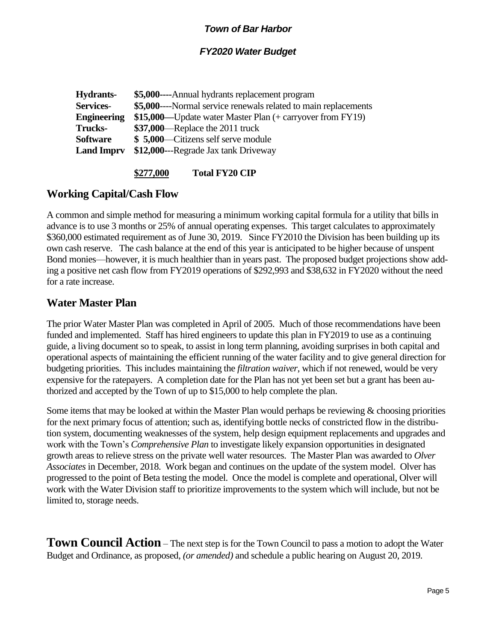## *FY2020 Water Budget*

| Hydrants-          | \$5,000----Annual hydrants replacement program                  |
|--------------------|-----------------------------------------------------------------|
| <b>Services-</b>   | \$5,000----Normal service renewals related to main replacements |
| <b>Engineering</b> | \$15,000—Update water Master Plan (+ carryover from FY19)       |
| <b>Trucks-</b>     | $$37,000$ -Replace the 2011 truck                               |
| Software           | \$5,000—Citizens self serve module                              |
| <b>Land Imprv</b>  | \$12,000---Regrade Jax tank Driveway                            |
|                    |                                                                 |

## **\$277,000 Total FY20 CIP**

# **Working Capital/Cash Flow**

A common and simple method for measuring a minimum working capital formula for a utility that bills in advance is to use 3 months or 25% of annual operating expenses. This target calculates to approximately \$360,000 estimated requirement as of June 30, 2019. Since FY2010 the Division has been building up its own cash reserve. The cash balance at the end of this year is anticipated to be higher because of unspent Bond monies—however, it is much healthier than in years past. The proposed budget projections show adding a positive net cash flow from FY2019 operations of \$292,993 and \$38,632 in FY2020 without the need for a rate increase.

## **Water Master Plan**

The prior Water Master Plan was completed in April of 2005. Much of those recommendations have been funded and implemented. Staff has hired engineers to update this plan in FY2019 to use as a continuing guide, a living document so to speak, to assist in long term planning, avoiding surprises in both capital and operational aspects of maintaining the efficient running of the water facility and to give general direction for budgeting priorities. This includes maintaining the *filtration waiver*, which if not renewed, would be very expensive for the ratepayers. A completion date for the Plan has not yet been set but a grant has been authorized and accepted by the Town of up to \$15,000 to help complete the plan.

Some items that may be looked at within the Master Plan would perhaps be reviewing  $&$  choosing priorities for the next primary focus of attention; such as, identifying bottle necks of constricted flow in the distribution system, documenting weaknesses of the system, help design equipment replacements and upgrades and work with the Town's *Comprehensive Plan* to investigate likely expansion opportunities in designated growth areas to relieve stress on the private well water resources. The Master Plan was awarded to *Olver Associates* in December, 2018. Work began and continues on the update of the system model. Olver has progressed to the point of Beta testing the model. Once the model is complete and operational, Olver will work with the Water Division staff to prioritize improvements to the system which will include, but not be limited to, storage needs.

**Town Council Action** – The next step is for the Town Council to pass a motion to adopt the Water Budget and Ordinance, as proposed, *(or amended)* and schedule a public hearing on August 20, 2019.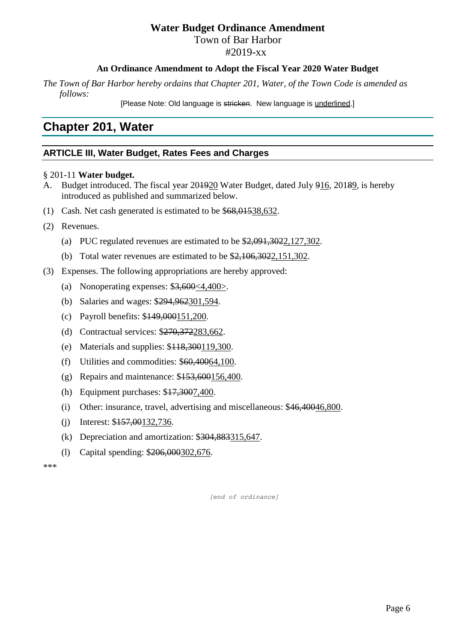# **Water Budget Ordinance Amendment**

Town of Bar Harbor

#2019-xx

## **An Ordinance Amendment to Adopt the Fiscal Year 2020 Water Budget**

*The Town of Bar Harbor hereby ordains that Chapter 201, Water, of the Town Code is amended as follows:*

[Please Note: Old language is stricken. New language is underlined.]

# **Chapter 201, Water**

# **ARTICLE III, Water Budget, Rates Fees and Charges**

## § 201-11 **Water budget.**

- A. Budget introduced. The fiscal year 201920 Water Budget, dated July 916, 20189, is hereby introduced as published and summarized below.
- (1) Cash. Net cash generated is estimated to be \$68,01538,632.
- (2) Revenues.
	- (a) PUC regulated revenues are estimated to be \$2,091,3022,127,302.
	- (b) Total water revenues are estimated to be \$2,106,3022,151,302.
- (3) Expenses. The following appropriations are hereby approved:
	- (a) Nonoperating expenses: \$3,600<4,400>.
	- (b) Salaries and wages: \$294,962301,594.
	- (c) Payroll benefits: \$149,000151,200.
	- (d) Contractual services: \$270,372283,662.
	- (e) Materials and supplies: \$118,300119,300.
	- (f) Utilities and commodities: \$60,40064,100.
	- (g) Repairs and maintenance: \$153,600156,400.
	- (h) Equipment purchases: \$17,3007,400.
	- (i) Other: insurance, travel, advertising and miscellaneous: \$46,40046,800.
	- (j) Interest: \$157,00132,736.
	- (k) Depreciation and amortization: \$304,883315,647.
	- (l) Capital spending: \$206,000302,676.

\*\*\*

 *[end of ordinance]*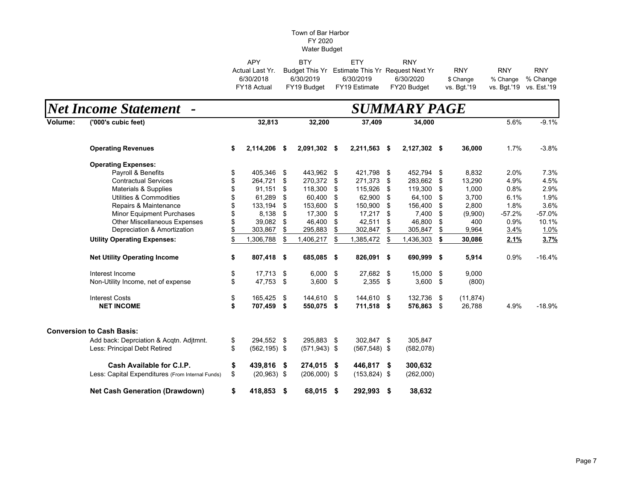| <b>APY</b>      | RTY.        | FTY.                                            | <b>RNY</b>  |             |                         |            |
|-----------------|-------------|-------------------------------------------------|-------------|-------------|-------------------------|------------|
| Actual Last Yr. |             | Budget This Yr Estimate This Yr Request Next Yr |             | <b>RNY</b>  | <b>RNY</b>              | <b>RNY</b> |
| 6/30/2018       | 6/30/2019   | 6/30/2019                                       | 6/30/2020   | \$ Change   | % Change % Change       |            |
| FY18 Actual     | FY19 Budget | FY19 Estimate                                   | FY20 Budget | vs. Bat.'19 | vs. Bgt.'19 vs. Est.'19 |            |

|         | <b>Net Income Statement</b>                      | SUMMARY PAGE |                 |    |                 |     |                 |    |              |      |           |          |          |
|---------|--------------------------------------------------|--------------|-----------------|----|-----------------|-----|-----------------|----|--------------|------|-----------|----------|----------|
| Volume: | ('000's cubic feet)                              |              | 32,813          |    | 32,200          |     | 37,409          |    | 34,000       |      |           | 5.6%     | $-9.1%$  |
|         | <b>Operating Revenues</b>                        | \$           | 2,114,206 \$    |    | 2,091,302 \$    |     | 2,211,563 \$    |    | 2,127,302 \$ |      | 36,000    | 1.7%     | $-3.8%$  |
|         | <b>Operating Expenses:</b>                       |              |                 |    |                 |     |                 |    |              |      |           |          |          |
|         | Payroll & Benefits                               | \$           | 405,346 \$      |    | 443,962 \$      |     | 421,798 \$      |    | 452,794      | - \$ | 8,832     | 2.0%     | 7.3%     |
|         | <b>Contractual Services</b>                      |              | 264,721         | \$ | 270.372         | \$  | 271,373         | \$ | 283,662      | -\$  | 13,290    | 4.9%     | 4.5%     |
|         | Materials & Supplies                             |              | 91.151          | \$ | 118,300         | \$  | 115,926         | \$ | 119,300      | -\$  | 1,000     | 0.8%     | 2.9%     |
|         | Utilities & Commodities                          |              | 61,289          | \$ | 60,400          | \$  | 62,900          | \$ | 64,100       | -\$  | 3,700     | 6.1%     | 1.9%     |
|         | Repairs & Maintenance                            |              | 133,194         | \$ | 153,600         | S   | 150,900         | \$ | 156,400      | \$   | 2,800     | 1.8%     | 3.6%     |
|         | <b>Minor Equipment Purchases</b>                 |              | 8,138           | \$ | 17,300          | \$  | 17,217          | \$ | 7,400        | \$   | (9,900)   | $-57.2%$ | $-57.0%$ |
|         | <b>Other Miscellaneous Expenses</b>              |              | 39,082          | \$ | 46,400          | \$  | 42,511          | \$ | 46,800       | \$   | 400       | 0.9%     | 10.1%    |
|         | Depreciation & Amortization                      |              | 303,867         | \$ | 295,883         |     | 302,847         | \$ | 305,847      | \$   | 9,964     | 3.4%     | 1.0%     |
|         | <b>Utility Operating Expenses:</b>               |              | 306,788         | \$ | 1,406,217       | \$  | 1,385,472       | \$ | 1,436,303    | \$   | 30,086    | 2.1%     | 3.7%     |
|         | <b>Net Utility Operating Income</b>              | \$           | 807,418 \$      |    | 685,085 \$      |     | 826,091 \$      |    | 690,999 \$   |      | 5,914     | 0.9%     | $-16.4%$ |
|         | Interest Income                                  | \$           | 17,713 \$       |    | 6,000           | \$  | 27,682 \$       |    | 15,000 \$    |      | 9,000     |          |          |
|         | Non-Utility Income, net of expense               | \$           | 47,753          | \$ | $3,600$ \$      |     | 2,355 \$        |    | $3,600$ \$   |      | (800)     |          |          |
|         | <b>Interest Costs</b>                            | \$           | 165,425 \$      |    | 144,610         | -\$ | 144,610 \$      |    | 132,736 \$   |      | (11, 874) |          |          |
|         | <b>NET INCOME</b>                                | \$           | 707,459 \$      |    | 550,075 \$      |     | 711,518 \$      |    | 576,863 \$   |      | 26,788    | 4.9%     | $-18.9%$ |
|         | <b>Conversion to Cash Basis:</b>                 |              |                 |    |                 |     |                 |    |              |      |           |          |          |
|         | Add back: Deprciation & Acqtn. Adjtmnt.          | \$           | 294,552 \$      |    | 295,883 \$      |     | 302,847 \$      |    | 305,847      |      |           |          |          |
|         | Less: Principal Debt Retired                     | \$           | $(562, 195)$ \$ |    | $(571, 943)$ \$ |     | $(567, 548)$ \$ |    | (582,078)    |      |           |          |          |
|         | Cash Available for C.I.P.                        | \$           | 439,816         | \$ | 274,015 \$      |     | 446,817 \$      |    | 300,632      |      |           |          |          |
|         | Less: Capital Expenditures (From Internal Funds) | \$           | $(20,963)$ \$   |    | $(206,000)$ \$  |     | $(153, 824)$ \$ |    | (262,000)    |      |           |          |          |
|         | <b>Net Cash Generation (Drawdown)</b>            | \$           | 418,853 \$      |    | 68,015 \$       |     | 292,993 \$      |    | 38,632       |      |           |          |          |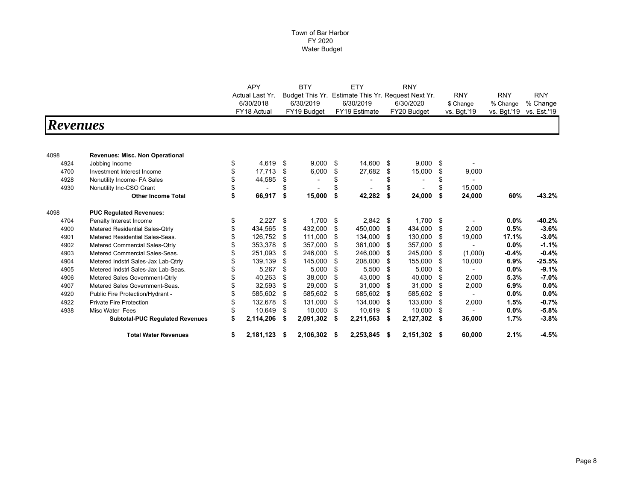|                 |                                        |    | <b>APY</b>                                  |    | <b>BTY</b>      |    | ETY                                |    | <b>RNY</b>  |     |             |             |             |
|-----------------|----------------------------------------|----|---------------------------------------------|----|-----------------|----|------------------------------------|----|-------------|-----|-------------|-------------|-------------|
|                 |                                        |    | Actual Last Yr.<br>6/30/2018<br>FY18 Actual |    | Budget This Yr. |    | Estimate This Yr. Request Next Yr. |    |             |     | <b>RNY</b>  | <b>RNY</b>  | <b>RNY</b>  |
|                 |                                        |    |                                             |    | 6/30/2019       |    | 6/30/2019                          |    | 6/30/2020   |     | \$ Change   | % Change    | % Change    |
|                 |                                        |    |                                             |    | FY19 Budget     |    | FY19 Estimate                      |    | FY20 Budget |     | vs. Bgt.'19 | vs. Bgt.'19 | vs. Est.'19 |
| <b>Revenues</b> |                                        |    |                                             |    |                 |    |                                    |    |             |     |             |             |             |
|                 |                                        |    |                                             |    |                 |    |                                    |    |             |     |             |             |             |
| 4098            | <b>Revenues: Misc. Non Operational</b> |    |                                             |    |                 |    |                                    |    |             |     |             |             |             |
| 4924            | Jobbing Income                         | \$ | 4,619                                       | \$ | 9,000           | \$ | 14,600                             | \$ | 9,000       | \$  |             |             |             |
| 4700            | Investment Interest Income             | \$ | 17,713                                      | \$ | 6,000           | \$ | 27,682                             | \$ | 15,000      | \$  | 9,000       |             |             |
| 4928            | Nonutility Income- FA Sales            |    | 44,585                                      | \$ |                 |    | ٠                                  | \$ |             | \$  |             |             |             |
| 4930            | Nonutility Inc-CSO Grant               |    |                                             | \$ |                 |    |                                    | \$ |             | \$  | 15.000      |             |             |
|                 | <b>Other Income Total</b>              | \$ | 66,917                                      | \$ | 15,000          | Ŝ. | 42,282                             | \$ | 24,000      | \$  | 24,000      | 60%         | $-43.2%$    |
| 4098            | <b>PUC Requlated Revenues:</b>         |    |                                             |    |                 |    |                                    |    |             |     |             |             |             |
| 4704            | Penalty Interest Income                | \$ | 2,227                                       | \$ | 1,700           | \$ | 2,842                              | \$ | 1,700       | -\$ |             | $0.0\%$     | $-40.2%$    |
| 4900            | Metered Residential Sales-Qtrly        |    | 434,565                                     | \$ | 432.000         | \$ | 450.000                            | \$ | 434.000     | \$  | 2.000       | 0.5%        | $-3.6%$     |
| 4901            | Metered Residential Sales-Seas.        |    | 126,752                                     | \$ | 111,000         | \$ | 134,000                            | \$ | 130,000     | \$  | 19,000      | 17.1%       | $-3.0%$     |
| 4902            | Metered Commercial Sales-Qtrly         |    | 353,378                                     | \$ | 357,000         | \$ | 361,000                            | \$ | 357,000     | \$  |             | $0.0\%$     | $-1.1%$     |
| 4903            | Metered Commercial Sales-Seas.         |    | 251,093                                     | \$ | 246,000         | S  | 246,000                            | \$ | 245,000     | \$  | (1,000)     | $-0.4%$     | $-0.4%$     |
| 4904            | Metered Indstrl Sales-Jax Lab-Qtrly    |    | 139,139                                     | \$ | 145,000         | \$ | 208,000                            | \$ | 155,000     | \$  | 10,000      | 6.9%        | $-25.5%$    |
| 4905            | Metered Indstrl Sales-Jax Lab-Seas.    |    | 5,267                                       | \$ | 5,000           | \$ | 5,500                              | \$ | 5,000       | \$  |             | $0.0\%$     | $-9.1%$     |
| 4906            | Metered Sales Government-Qtrly         |    | 40,263                                      | \$ | 38,000          | S  | 43,000                             | \$ | 40,000      | \$  | 2,000       | 5.3%        | $-7.0%$     |
| 4907            | Metered Sales Government-Seas.         |    | 32,593                                      | \$ | 29,000          | \$ | 31,000                             | \$ | 31,000      | \$  | 2,000       | 6.9%        | 0.0%        |
| 4920            | Public Fire Protection/Hydrant -       |    | 585,602                                     | \$ | 585,602         | \$ | 585,602                            | \$ | 585,602     | \$  |             | $0.0\%$     | 0.0%        |
| 4922            | <b>Private Fire Protection</b>         |    | 132,678                                     | \$ | 131,000         | \$ | 134,000                            | \$ | 133,000     | \$  | 2,000       | 1.5%        | $-0.7%$     |
| 4938            | Misc Water Fees                        |    | 10,649                                      | S  | 10,000          | \$ | 10,619                             | \$ | 10,000      | \$  |             | $0.0\%$     | $-5.8%$     |
|                 | <b>Subtotal-PUC Regulated Revenues</b> | \$ | 2,114,206                                   |    | 2,091,302       | \$ | 2,211,563                          | \$ | 2,127,302   | \$  | 36,000      | 1.7%        | $-3.8%$     |
|                 | <b>Total Water Revenues</b>            | \$ | 2,181,123                                   | S  | 2,106,302       | -S | 2,253,845                          | S  | 2,151,302   | \$  | 60,000      | 2.1%        | $-4.5%$     |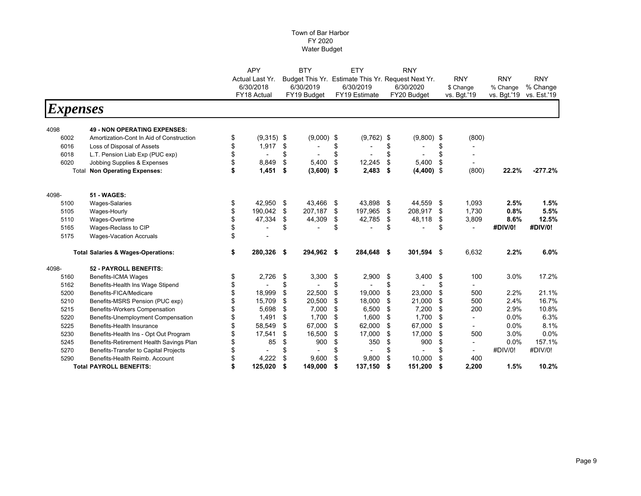|                 |                                               | <b>APY</b>         | <b>BTY</b>         | ETY                                                | <b>RNY</b>                     |      |             |             |             |  |
|-----------------|-----------------------------------------------|--------------------|--------------------|----------------------------------------------------|--------------------------------|------|-------------|-------------|-------------|--|
|                 |                                               | Actual Last Yr.    |                    | Budget This Yr. Estimate This Yr. Request Next Yr. |                                |      | <b>RNY</b>  | <b>RNY</b>  | <b>RNY</b>  |  |
|                 |                                               | 6/30/2018          | 6/30/2019          | 6/30/2019                                          | 6/30/2020                      |      | \$ Change   | % Change    | % Change    |  |
|                 |                                               | FY18 Actual        | FY19 Budget        | FY19 Estimate                                      | FY20 Budget                    |      | vs. Bqt.'19 | vs. Bgt.'19 | vs. Est.'19 |  |
| <i>Expenses</i> |                                               |                    |                    |                                                    |                                |      |             |             |             |  |
|                 |                                               |                    |                    |                                                    |                                |      |             |             |             |  |
| 4098            | <b>49 - NON OPERATING EXPENSES:</b>           |                    |                    |                                                    |                                |      |             |             |             |  |
| 6002            | Amortization-Cont In Aid of Construction      | \$<br>$(9,315)$ \$ | $(9,000)$ \$       | $(9,762)$ \$                                       | $(9,800)$ \$                   |      | (800)       |             |             |  |
| 6016            | Loss of Disposal of Assets                    | \$<br>1,917        | \$                 | \$                                                 | \$                             | \$   |             |             |             |  |
| 6018            | L.T. Pension Liab Exp (PUC exp)               | \$                 | \$                 | \$                                                 | \$<br>$\overline{\phantom{a}}$ | \$   |             |             |             |  |
| 6020            | Jobbing Supplies & Expenses                   | \$<br>8,849        | \$<br>5,400        | \$<br>12,245                                       | \$<br>5,400                    | \$   |             |             |             |  |
| Total           | <b>Non Operating Expenses:</b>                | \$<br>1,451        | \$<br>$(3,600)$ \$ | 2,483                                              | \$<br>$(4,400)$ \$             |      | (800)       | 22.2%       | $-277.2%$   |  |
| 4098-           | <b>51 - WAGES:</b>                            |                    |                    |                                                    |                                |      |             |             |             |  |
| 5100            | <b>Wages-Salaries</b>                         | \$<br>42.950       | \$<br>43.466       | \$<br>43,898                                       | \$<br>44,559                   | -\$  | 1,093       | 2.5%        | 1.5%        |  |
| 5105            | Wages-Hourly                                  | \$<br>190,042      | \$<br>207,187      | \$<br>197,965                                      | \$<br>208,917                  | \$   | 1,730       | 0.8%        | 5.5%        |  |
| 5110            | Wages-Overtime                                | \$<br>47,334       | \$<br>44,309       | \$<br>42,785                                       | \$<br>48,118                   | \$   | 3,809       | 8.6%        | 12.5%       |  |
| 5165            | Wages-Reclass to CIP                          | \$                 | \$                 | \$                                                 | \$                             | \$   |             | #DIV/0!     | #DIV/0!     |  |
| 5175            | <b>Wages-Vacation Accruals</b>                | \$                 |                    |                                                    |                                |      |             |             |             |  |
|                 | <b>Total Salaries &amp; Wages-Operations:</b> | \$<br>280,326      | \$<br>294,962      | \$<br>284,648 \$                                   | 301,594                        | - \$ | 6,632       | 2.2%        | 6.0%        |  |
| 4098-           | 52 - PAYROLL BENEFITS:                        |                    |                    |                                                    |                                |      |             |             |             |  |
| 5160            | <b>Benefits-ICMA Wages</b>                    | \$<br>2,726        | \$<br>3,300        | \$<br>2,900                                        | \$<br>3,400                    | \$   | 100         | 3.0%        | 17.2%       |  |
| 5162            | Benefits-Health Ins Wage Stipend              | \$                 | \$                 | \$                                                 | \$                             | \$   |             |             |             |  |
| 5200            | Benefits-FICA/Medicare                        | \$<br>18,999       | \$<br>22,500       | \$<br>19,000                                       | \$<br>23,000                   | \$   | 500         | 2.2%        | 21.1%       |  |
| 5210            | Benefits-MSRS Pension (PUC exp)               | 15.709             | \$<br>20,500       | \$<br>18.000                                       | \$<br>21.000                   | \$   | 500         | 2.4%        | 16.7%       |  |
| 5215            | <b>Benefits-Workers Compensation</b>          | \$<br>5.698        | \$<br>7,000        | \$<br>6,500                                        | \$<br>7,200                    | \$   | 200         | 2.9%        | 10.8%       |  |
| 5220            | Benefits-Unemployment Compensation            | \$<br>1,491        | \$<br>1,700        | \$<br>1,600                                        | \$<br>1,700                    | \$   |             | 0.0%        | 6.3%        |  |
| 5225            | <b>Benefits-Health Insurance</b>              | \$<br>58.549       | \$<br>67,000       | \$<br>62.000                                       | \$<br>67,000                   | \$   |             | 0.0%        | 8.1%        |  |
| 5230            | Benefits-Health Ins - Opt Out Program         | 17,541             | \$<br>16,500       | \$<br>17,000                                       | \$<br>17,000                   | \$   | 500         | 3.0%        | 0.0%        |  |
| 5245            | Benefits-Retirement Health Savings Plan       | \$<br>85           | \$<br>900          | \$<br>350                                          | \$<br>900                      | \$   |             | 0.0%        | 157.1%      |  |
| 5270            | <b>Benefits-Transfer to Capital Projects</b>  | \$                 | \$                 | \$                                                 | \$<br>$\overline{a}$           | \$   |             | #DIV/0!     | #DIV/0!     |  |
| 5290            | Benefits-Health Reimb. Account                | 4,222              | \$<br>9,600        | \$<br>9,800                                        | \$<br>10,000                   | \$   | 400         |             |             |  |
|                 | <b>Total PAYROLL BENEFITS:</b>                | \$<br>125,020      | \$<br>149,000      | \$<br>137,150                                      | \$<br>151,200                  | \$   | 2,200       | 1.5%        | 10.2%       |  |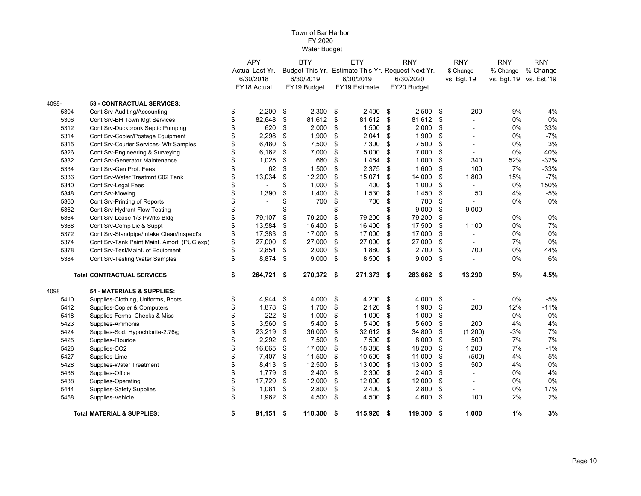|       |                                             | <b>APY</b>        | <b>BTY</b>   | ETY                                                | <b>RNY</b>   |     | <b>RNY</b>               | <b>RNY</b>  | <b>RNY</b>  |
|-------|---------------------------------------------|-------------------|--------------|----------------------------------------------------|--------------|-----|--------------------------|-------------|-------------|
|       |                                             | Actual Last Yr.   |              | Budget This Yr. Estimate This Yr. Request Next Yr. |              |     | \$ Change                | % Change    | % Change    |
|       |                                             | 6/30/2018         | 6/30/2019    | 6/30/2019                                          | 6/30/2020    |     | vs. Bgt.'19              | vs. Bgt.'19 | vs. Est.'19 |
|       |                                             | FY18 Actual       | FY19 Budget  | FY19 Estimate                                      | FY20 Budget  |     |                          |             |             |
| 4098- | 53 - CONTRACTUAL SERVICES:                  |                   |              |                                                    |              |     |                          |             |             |
| 5304  | Cont Srv-Auditing/Accounting                | \$<br>2,200       | \$<br>2,300  | \$<br>2,400                                        | \$<br>2,500  | \$  | 200                      | 9%          | 4%          |
| 5306  | Cont Srv-BH Town Mgt Services               | \$<br>82,648      | \$<br>81,612 | \$<br>81,612                                       | \$<br>81,612 | \$  |                          | 0%          | 0%          |
| 5312  | Cont Srv-Duckbrook Septic Pumping           | \$<br>620         | \$<br>2,000  | \$<br>1,500                                        | \$<br>2,000  | \$  |                          | 0%          | 33%         |
| 5314  | Cont Srv-Copier/Postage Equipment           | \$<br>2,298       | \$<br>1,900  | \$<br>2,041                                        | \$<br>1,900  | \$  |                          | 0%          | $-7%$       |
| 5315  | Cont Srv-Courier Services- Wtr Samples      | 6,480             | \$<br>7,500  | \$<br>7,300                                        | \$<br>7,500  | \$  |                          | 0%          | 3%          |
| 5326  | Cont Srv-Engineering & Surveying            | \$<br>6,162       | \$<br>7,000  | \$<br>5,000                                        | \$<br>7,000  | \$  | $\overline{\phantom{a}}$ | 0%          | 40%         |
| 5332  | <b>Cont Srv-Generator Maintenance</b>       | \$<br>1,025       | \$<br>660    | \$<br>1,464                                        | \$<br>1,000  | \$  | 340                      | 52%         | $-32%$      |
| 5334  | Cont Srv-Gen Prof. Fees                     | 62                | \$<br>1,500  | \$<br>2,375                                        | \$<br>1,600  | \$  | 100                      | 7%          | $-33%$      |
| 5336  | Cont Srv-Water Treatmnt C02 Tank            | \$<br>13,034      | \$<br>12,200 | \$<br>15,071                                       | \$<br>14,000 | \$  | 1,800                    | 15%         | $-7%$       |
| 5340  | Cont Srv-Legal Fees                         | \$                | \$<br>1,000  | \$<br>400                                          | \$<br>1,000  | \$  |                          | 0%          | 150%        |
| 5348  | Cont Srv-Mowing                             | \$<br>1,390       | \$<br>1,400  | \$<br>1,530                                        | \$<br>1,450  | \$  | 50                       | 4%          | $-5%$       |
| 5360  | Cont Srv-Printing of Reports                |                   | \$<br>700    | \$<br>700                                          | \$<br>700    | \$  |                          | 0%          | 0%          |
| 5362  | Cont Srv-Hydrant Flow Testing               | \$                | \$           | \$                                                 | \$<br>9,000  | \$  | 9,000                    |             |             |
| 5364  | Cont Srv-Lease 1/3 PWrks Bldg               | \$<br>79,107      | \$<br>79,200 | \$<br>79,200                                       | \$<br>79,200 | \$  |                          | $0\%$       | 0%          |
| 5368  | Cont Srv-Comp Lic & Suppt                   | \$<br>13,584      | \$<br>16,400 | \$<br>16,400                                       | \$<br>17,500 | \$  | 1,100                    | 0%          | 7%          |
| 5372  | Cont Srv-Standpipe/Intake Clean/Inspect's   | \$<br>17,383      | \$<br>17,000 | \$<br>17,000                                       | \$<br>17,000 | \$  | $\blacksquare$           | 0%          | 0%          |
| 5374  | Cont Srv-Tank Paint Maint. Amort. (PUC exp) | \$<br>27,000      | \$<br>27,000 | \$<br>27,000                                       | \$<br>27,000 | \$  |                          | 7%          | 0%          |
| 5378  | Cont Srv-Test/Maint. of Equipment           | \$<br>2,854       | \$<br>2,000  | \$<br>1,880                                        | \$<br>2,700  | \$  | 700                      | 0%          | 44%         |
| 5384  | Cont Srv-Testing Water Samples              | \$<br>8,874       | \$<br>9,000  | \$<br>8,500                                        | \$<br>9,000  | \$  |                          | 0%          | 6%          |
|       | <b>Total CONTRACTUAL SERVICES</b>           | \$<br>264,721 \$  | 270,372 \$   | 271,373 \$                                         | 283,662 \$   |     | 13,290                   | 5%          | 4.5%        |
| 4098  | 54 - MATERIALS & SUPPLIES:                  |                   |              |                                                    |              |     |                          |             |             |
| 5410  | Supplies-Clothing, Uniforms, Boots          | \$<br>4,944       | \$<br>4,000  | \$<br>4,200                                        | \$<br>4,000  | -\$ |                          | $0\%$       | $-5%$       |
| 5412  | Supplies-Copier & Computers                 | \$<br>1,878       | \$<br>1,700  | \$<br>2,126                                        | \$<br>1,900  | \$  | 200                      | 12%         | $-11%$      |
| 5418  | Supplies-Forms, Checks & Misc               | \$<br>222         | \$<br>1,000  | \$<br>1,000                                        | \$<br>1,000  | \$  |                          | $0\%$       | 0%          |
| 5423  | Supplies-Ammonia                            | \$<br>3,560       | \$<br>5,400  | \$<br>5,400                                        | \$<br>5,600  | \$  | 200                      | 4%          | 4%          |
| 5424  | Supplies-Sod. Hypochlorite-2.76/g           | \$<br>23,219      | \$<br>36,000 | \$<br>32,612                                       | \$<br>34,800 | \$  | (1,200)                  | $-3%$       | 7%          |
| 5425  | Supplies-Flouride                           | \$<br>2,292       | \$<br>7,500  | \$<br>7,500                                        | \$<br>8,000  | \$  | 500                      | 7%          | 7%          |
| 5426  | Supplies-CO2                                | \$<br>16,665      | \$<br>17,000 | \$<br>18,388                                       | \$<br>18,200 | \$  | 1,200                    | 7%          | $-1%$       |
| 5427  | Supplies-Lime                               | \$<br>7,407       | \$<br>11,500 | \$<br>10,500                                       | \$<br>11,000 | \$  | (500)                    | $-4%$       | 5%          |
| 5428  | Supplies-Water Treatment                    | \$<br>8,413       | \$<br>12,500 | \$<br>13,000                                       | \$<br>13,000 | \$  | 500                      | 4%          | 0%          |
| 5436  | Supplies-Office                             | \$<br>1,779       | \$<br>2,400  | \$<br>2,300                                        | \$<br>2,400  | \$  |                          | 0%          | 4%          |
| 5438  | Supplies-Operating                          | \$<br>17,729      | \$<br>12,000 | \$<br>12,000                                       | \$<br>12,000 | \$  |                          | 0%          | 0%          |
| 5444  | <b>Supplies-Safety Supplies</b>             | \$<br>1,081       | \$<br>2,800  | \$<br>2,400                                        | \$<br>2,800  | \$  | $\overline{\phantom{a}}$ | 0%          | 17%         |
| 5458  | Supplies-Vehicle                            | \$<br>1,962       | \$<br>4,500  | \$<br>4,500                                        | \$<br>4,600  | \$  | 100                      | 2%          | 2%          |
|       | <b>Total MATERIAL &amp; SUPPLIES:</b>       | \$<br>$91,151$ \$ | 118,300      | \$<br>115,926 \$                                   | 119,300 \$   |     | 1,000                    | 1%          | 3%          |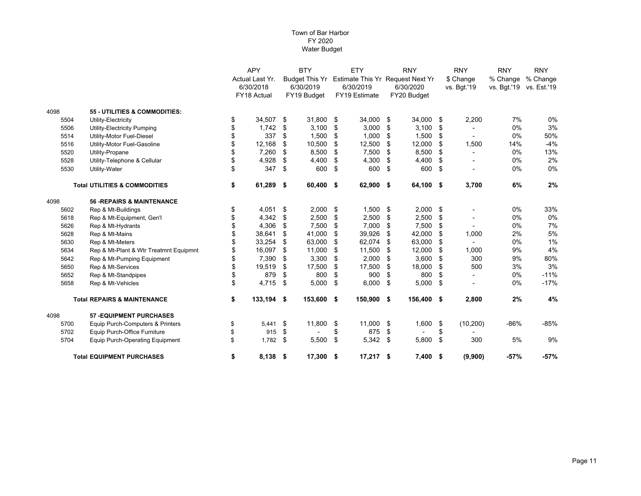|      |                                          | <b>APY</b>       |     | <b>BTY</b>            |    | <b>ETY</b>                       |    | <b>RNY</b>  |    | <b>RNY</b>  | <b>RNY</b>              | <b>RNY</b> |
|------|------------------------------------------|------------------|-----|-----------------------|----|----------------------------------|----|-------------|----|-------------|-------------------------|------------|
|      |                                          | Actual Last Yr.  |     | <b>Budget This Yr</b> |    | Estimate This Yr Request Next Yr |    |             |    | \$ Change   | % Change                | % Change   |
|      |                                          | 6/30/2018        |     | 6/30/2019             |    | 6/30/2019                        |    | 6/30/2020   |    | vs. Bgt.'19 | vs. Bgt.'19 vs. Est.'19 |            |
|      |                                          | FY18 Actual      |     | FY19 Budget           |    | FY19 Estimate                    |    | FY20 Budget |    |             |                         |            |
| 4098 | 55 - UTILITIES & COMMODITIES:            |                  |     |                       |    |                                  |    |             |    |             |                         |            |
| 5504 | Utility-Electricity                      | \$<br>34,507     | \$  | 31,800                | \$ | 34,000                           | \$ | 34,000      | \$ | 2,200       | 7%                      | 0%         |
| 5506 | Utility-Electricity Pumping              | \$<br>1,742      | \$  | 3,100                 | \$ | 3,000                            | \$ | 3,100       | \$ |             | 0%                      | 3%         |
| 5514 | Utility-Motor Fuel-Diesel                | 337              | \$  | 1,500                 | \$ | 1,000                            | \$ | 1,500       | \$ |             | $0\%$                   | 50%        |
| 5516 | Utility-Motor Fuel-Gasoline              | 12,168           | \$  | 10,500                | \$ | 12,500                           | \$ | 12,000      | \$ | 1,500       | 14%                     | $-4%$      |
| 5520 | Utility-Propane                          | 7,260            | \$  | 8,500                 | \$ | 7,500                            | \$ | 8,500       | \$ |             | 0%                      | 13%        |
| 5528 | Utility-Telephone & Cellular             | 4,928            | \$  | 4,400                 | \$ | 4,300                            | \$ | 4,400       | \$ |             | $0\%$                   | 2%         |
| 5530 | Utility-Water                            | \$<br>347        | \$  | 600                   | \$ | 600                              | \$ | 600         | \$ |             | $0\%$                   | 0%         |
|      | <b>Total UTILITIES &amp; COMMODITIES</b> | \$<br>61,289     | -\$ | 60,400                | \$ | 62,900 \$                        |    | 64,100 \$   |    | 3,700       | 6%                      | 2%         |
| 4098 | <b>56 - REPAIRS &amp; MAINTENANCE</b>    |                  |     |                       |    |                                  |    |             |    |             |                         |            |
| 5602 | Rep & Mt-Buildings                       | \$<br>4,051      | \$  | 2,000                 | \$ | 1,500                            | \$ | 2,000       | \$ |             | $0\%$                   | 33%        |
| 5618 | Rep & Mt-Equipment, Gen'l                | \$<br>4,342      | \$  | 2,500                 | \$ | 2,500                            | \$ | 2,500       | \$ |             | $0\%$                   | 0%         |
| 5626 | Rep & Mt-Hydrants                        | \$<br>4,306      | \$  | 7,500                 | \$ | 7,000                            | \$ | 7,500       | \$ |             | 0%                      | 7%         |
| 5628 | Rep & Mt-Mains                           | \$<br>38,641     | \$  | 41,000                | \$ | 39,926                           | \$ | 42,000      | \$ | 1,000       | 2%                      | 5%         |
| 5630 | Rep & Mt-Meters                          | 33,254           | \$  | 63,000                | \$ | 62,074                           | \$ | 63,000      | \$ |             | $0\%$                   | 1%         |
| 5634 | Rep & Mt-Plant & Wtr Treatmnt Equipmnt   | 16,097           | \$  | 11,000                | \$ | 11,500                           | \$ | 12,000      | \$ | 1,000       | 9%                      | 4%         |
| 5642 | Rep & Mt-Pumping Equipment               | 7,390            | \$  | 3,300                 | \$ | 2,000                            | \$ | 3,600       | \$ | 300         | 9%                      | 80%        |
| 5650 | Rep & Mt-Services                        | \$<br>19,519     | \$  | 17,500                | \$ | 17,500                           | \$ | 18,000      | \$ | 500         | 3%                      | 3%         |
| 5652 | Rep & Mt-Standpipes                      | \$<br>879        | \$  | 800                   | \$ | 900                              | \$ | 800         | \$ |             | 0%                      | $-11%$     |
| 5658 | Rep & Mt-Vehicles                        | \$<br>4,715      | \$  | 5,000                 | \$ | 6,000                            | \$ | 5,000       | \$ |             | $0\%$                   | $-17%$     |
|      | <b>Total REPAIRS &amp; MAINTENANCE</b>   | \$<br>133,194 \$ |     | 153,600 \$            |    | 150,900 \$                       |    | 156,400 \$  |    | 2,800       | 2%                      | 4%         |
| 4098 | <b>57 - EQUIPMENT PURCHASES</b>          |                  |     |                       |    |                                  |    |             |    |             |                         |            |
| 5700 | Equip Purch-Computers & Printers         | \$<br>5,441      | \$  | 11,800                | \$ | $11,000$ \$                      |    | 1,600       | \$ | (10, 200)   | -86%                    | -85%       |
| 5702 | Equip Purch-Office Furniture             | \$<br>915        | \$  |                       | \$ | 875                              | \$ |             | \$ |             |                         |            |
| 5704 | <b>Equip Purch-Operating Equipment</b>   | \$<br>1,782      | \$  | 5,500                 | \$ | 5,342                            | \$ | 5,800       | \$ | 300         | 5%                      | 9%         |
|      | <b>Total EQUIPMENT PURCHASES</b>         | \$<br>8,138 \$   |     | 17,300                | \$ | $17,217$ \$                      |    | $7,400$ \$  |    | (9,900)     | $-57%$                  | $-57%$     |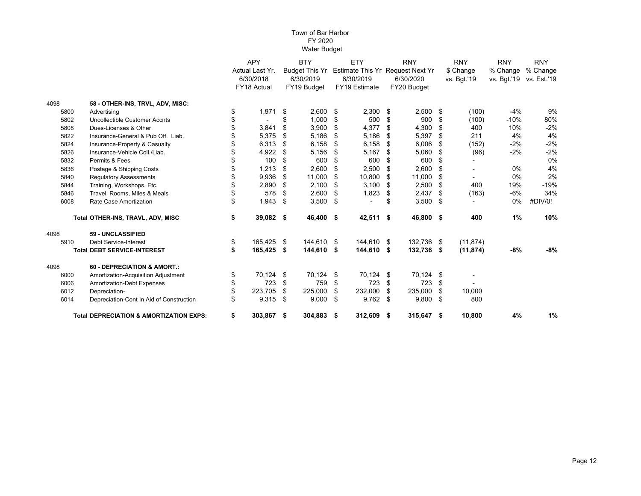|      |                                                    |    | <b>APY</b><br>Actual Last Yr. |      | <b>BTY</b>            |      | ETY                              |    | <b>RNY</b>  |      | <b>RNY</b>  | <b>RNY</b>  | <b>RNY</b>  |  |
|------|----------------------------------------------------|----|-------------------------------|------|-----------------------|------|----------------------------------|----|-------------|------|-------------|-------------|-------------|--|
|      |                                                    |    |                               |      | <b>Budget This Yr</b> |      | Estimate This Yr Request Next Yr |    |             |      | \$ Change   | % Change    | % Change    |  |
|      |                                                    |    | 6/30/2018                     |      | 6/30/2019             |      | 6/30/2019                        |    | 6/30/2020   |      | vs. Bgt.'19 | vs. Bgt.'19 | vs. Est.'19 |  |
|      |                                                    |    | <b>FY18 Actual</b>            |      | FY19 Budget           |      | <b>FY19 Estimate</b>             |    | FY20 Budget |      |             |             |             |  |
| 4098 | 58 - OTHER-INS, TRVL, ADV, MISC:                   |    |                               |      |                       |      |                                  |    |             |      |             |             |             |  |
| 5800 | Advertising                                        | \$ | 1,971                         | \$   | 2,600                 | \$   | 2,300                            | \$ | 2,500       | - \$ | (100)       | $-4%$       | 9%          |  |
| 5802 | Uncollectible Customer Accnts                      |    |                               | \$   | 1,000                 | \$   | 500                              | \$ | 900         | \$   | (100)       | $-10%$      | 80%         |  |
| 5808 | Dues-Licenses & Other                              |    | 3,841                         | \$   | 3,900                 | \$   | 4,377                            | \$ | 4,300       | \$   | 400         | 10%         | $-2%$       |  |
| 5822 | Insurance-General & Pub Off. Liab.                 |    | 5,375                         | \$   | 5,186                 | \$   | 5,186                            | \$ | 5,397       | \$   | 211         | 4%          | 4%          |  |
| 5824 | Insurance-Property & Casualty                      |    | 6,313                         | \$   | 6,158                 | \$   | 6,158                            | \$ | 6,006       | \$   | (152)       | $-2%$       | $-2%$       |  |
| 5826 | Insurance-Vehicle Coll./Liab.                      |    | 4,922                         | \$   | 5,156                 | \$   | 5,167                            | \$ | 5,060       | \$   | (96)        | $-2%$       | $-2%$       |  |
| 5832 | Permits & Fees                                     |    | 100                           | \$   | 600                   | \$   | 600                              | \$ | 600         | \$   |             |             | 0%          |  |
| 5836 | Postage & Shipping Costs                           |    | 1,213                         | \$   | 2,600                 | \$   | 2,500                            | \$ | 2,600       | \$   |             | $0\%$       | 4%          |  |
| 5840 | <b>Regulatory Assessments</b>                      | \$ | 9,936                         | \$   | 11,000                | \$   | 10,800                           | \$ | 11,000      | \$   |             | $0\%$       | 2%          |  |
| 5844 | Training, Workshops, Etc.                          |    | 2,890                         | \$   | 2,100                 | \$   | 3,100                            | \$ | 2,500       | \$   | 400         | 19%         | $-19%$      |  |
| 5846 | Travel, Rooms, Miles & Meals                       |    | 578                           | \$   | 2,600                 | S    | 1,823                            | \$ | 2,437       | \$   | (163)       | $-6%$       | 34%         |  |
| 6008 | Rate Case Amortization                             | \$ | 1,943                         | \$   | 3,500                 | \$   |                                  | \$ | 3,500       | \$   |             | 0%          | #DIV/0!     |  |
|      | Total OTHER-INS, TRAVL, ADV, MISC                  | \$ | 39,082 \$                     |      | 46,400                | \$   | 42,511 \$                        |    | 46,800 \$   |      | 400         | 1%          | 10%         |  |
| 4098 | 59 - UNCLASSIFIED                                  |    |                               |      |                       |      |                                  |    |             |      |             |             |             |  |
| 5910 | <b>Debt Service-Interest</b>                       | \$ | 165,425                       | - \$ | 144,610               | - \$ | 144,610 \$                       |    | 132,736     | - \$ | (11, 874)   |             |             |  |
|      | <b>Total DEBT SERVICE-INTEREST</b>                 | \$ | 165,425                       | \$   | 144,610               | \$   | 144,610                          | \$ | 132,736     | - \$ | (11, 874)   | $-8%$       | $-8%$       |  |
| 4098 | 60 - DEPRECIATION & AMORT.:                        |    |                               |      |                       |      |                                  |    |             |      |             |             |             |  |
| 6000 | Amortization-Acquisition Adjustment                | \$ | 70,124                        | \$   | 70,124                | \$   | 70,124                           | \$ | 70,124      | \$   |             |             |             |  |
| 6006 | Amortization-Debt Expenses                         |    | 723                           | \$   | 759                   | \$   | 723                              | \$ | 723         | \$   |             |             |             |  |
| 6012 | Depreciation-                                      |    | 223.705                       | \$   | 225,000               | \$   | 232,000                          | \$ | 235,000     | \$   | 10,000      |             |             |  |
| 6014 | Depreciation-Cont In Aid of Construction           | \$ | 9,315                         | \$   | 9,000                 | \$   | 9,762                            | \$ | 9,800       | \$   | 800         |             |             |  |
|      | <b>Total DEPRECIATION &amp; AMORTIZATION EXPS:</b> | \$ | 303,867 \$                    |      | 304,883               | - \$ | 312,609 \$                       |    | 315,647 \$  |      | 10,800      | 4%          | 1%          |  |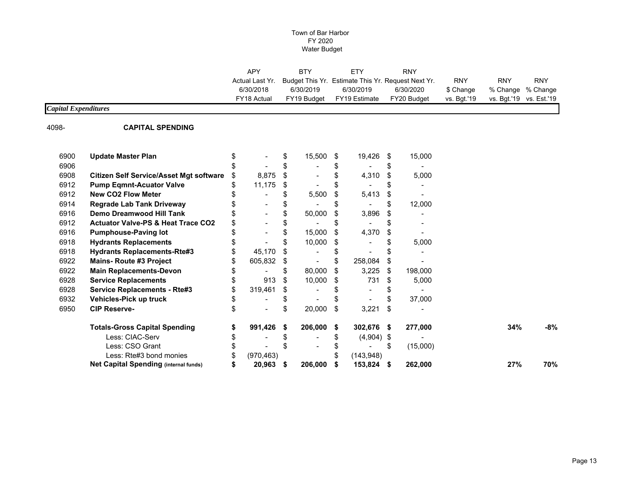| <b>APY</b>      | <b>BTY</b>  | ETY           | <b>RNY</b>                                         |             |                         |     |
|-----------------|-------------|---------------|----------------------------------------------------|-------------|-------------------------|-----|
| Actual Last Yr. |             |               | Budget This Yr. Estimate This Yr. Reguest Next Yr. | <b>RNY</b>  | <b>RNY</b>              | RNY |
| 6/30/2018       | 6/30/2019   | 6/30/2019     | 6/30/2020                                          | \$ Change   | % Change % Change       |     |
| FY18 Actual     | FY19 Budaet | FY19 Estimate | FY20 Budget                                        | vs. Bat.'19 | vs. Bgt.'19 vs. Est.'19 |     |
|                 |             |               |                                                    |             |                         |     |

## *Capital Expenditures*

4098-

#### **CAPITAL SPENDING**

| 6900 | <b>Update Master Plan</b>                      |               | S   | 15,500  | S  | 19,426       | S  | 15,000   |     |     |
|------|------------------------------------------------|---------------|-----|---------|----|--------------|----|----------|-----|-----|
| 6906 |                                                |               |     |         |    |              |    |          |     |     |
| 6908 | <b>Citizen Self Service/Asset Mgt software</b> | 8,875         | S   |         |    | 4,310        | S  | 5,000    |     |     |
| 6912 | <b>Pump Eqmnt-Acuator Valve</b>                | 11,175        | S   |         |    |              |    |          |     |     |
| 6912 | <b>New CO2 Flow Meter</b>                      |               |     | 5,500   |    | 5,413        | S  |          |     |     |
| 6914 | <b>Regrade Lab Tank Driveway</b>               |               |     |         |    |              | S  | 12,000   |     |     |
| 6916 | Demo Dreamwood Hill Tank                       |               |     | 50,000  | S  | 3,896        | S  |          |     |     |
| 6912 | <b>Actuator Valve-PS &amp; Heat Trace CO2</b>  |               |     |         |    |              |    |          |     |     |
| 6916 | <b>Pumphouse-Paving lot</b>                    |               |     | 15,000  | S  | 4,370        | \$ |          |     |     |
| 6918 | <b>Hydrants Replacements</b>                   |               |     | 10,000  | S  |              |    | 5,000    |     |     |
| 6918 | <b>Hydrants Replacements-Rte#3</b>             | 45,170        |     |         |    |              |    |          |     |     |
| 6922 | <b>Mains-Route #3 Project</b>                  | 605,832       | \$  |         |    | 258,084      | S  |          |     |     |
| 6922 | <b>Main Replacements-Devon</b>                 |               |     | 80,000  |    | 3,225        | S  | 198,000  |     |     |
| 6928 | <b>Service Replacements</b>                    | 913           | \$  | 10,000  | S  | 731          | S  | 5,000    |     |     |
| 6928 | <b>Service Replacements - Rte#3</b>            | \$<br>319,461 | \$. |         |    |              |    |          |     |     |
| 6932 | Vehicles-Pick up truck                         |               |     |         |    |              |    | 37,000   |     |     |
| 6950 | <b>CIP Reserve-</b>                            |               | S   | 20,000  | \$ | 3,221        | \$ |          |     |     |
|      | <b>Totals-Gross Capital Spending</b>           | 991,426       | S.  | 206,000 | S  | 302,676 \$   |    | 277,000  | 34% | -8% |
|      | Less: CIAC-Serv                                |               |     |         |    | $(4,904)$ \$ |    |          |     |     |
|      | Less: CSO Grant                                |               |     |         |    |              | S  | (15,000) |     |     |
|      | Less: Rte#3 bond monies                        | (970, 463)    |     |         |    | (143,948)    |    |          |     |     |
|      | Net Capital Spending (internal funds)          | 20,963        | 5   | 206,000 |    | 153,824      | 5  | 262,000  | 27% | 70% |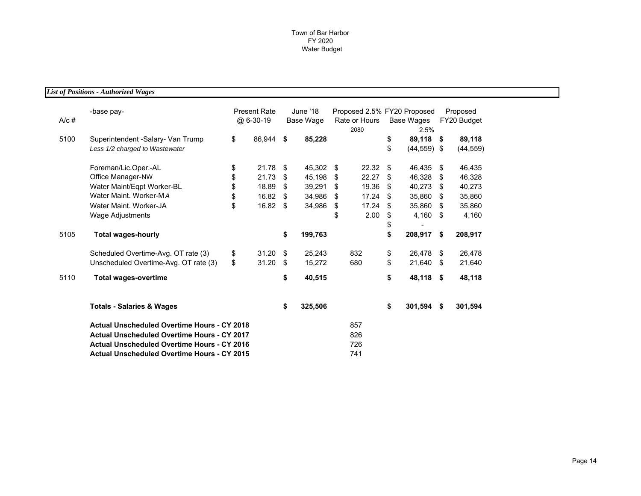*List of Positions - Authorized Wages*

| $A/c$ # | -base pay-                                                          | <b>Present Rate</b><br>@ 6-30-19 |      | June '18<br>Base Wage | Proposed 2.5% FY20 Proposed<br>Rate or Hours<br>2080 |       |          | Base Wages<br>2.5%       | Proposed<br>FY20 Budget |                     |
|---------|---------------------------------------------------------------------|----------------------------------|------|-----------------------|------------------------------------------------------|-------|----------|--------------------------|-------------------------|---------------------|
| 5100    | Superintendent -Salary- Van Trump<br>Less 1/2 charged to Wastewater | \$<br>86,944 \$                  |      | 85,228                |                                                      |       | \$<br>\$ | 89,118<br>$(44, 559)$ \$ | -\$                     | 89,118<br>(44, 559) |
|         | Foreman/Lic.Oper.-AL                                                | \$<br>21.78                      | - \$ | 45,302                | \$                                                   | 22.32 | \$       | 46,435                   | \$                      | 46,435              |
|         | Office Manager-NW                                                   | \$<br>21.73                      | \$   | 45,198                | S                                                    | 22.27 | \$       | 46,328                   | \$                      | 46,328              |
|         | Water Maint/Eqpt Worker-BL                                          | \$<br>18.89                      | \$   | 39,291                | \$                                                   | 19.36 | \$       | 40,273                   | \$                      | 40,273              |
|         | Water Maint. Worker-MA                                              | \$<br>16.82                      | \$   | 34,986                | S                                                    | 17.24 | \$.      | 35,860                   | -\$                     | 35,860              |
|         | Water Maint, Worker-JA                                              | \$<br>16.82                      | - \$ | 34,986                | \$                                                   | 17.24 | \$       | 35,860                   | S                       | 35,860              |
|         | Wage Adjustments                                                    |                                  |      |                       | \$                                                   | 2.00  | \$       | 4,160                    | -\$                     | 4,160               |
|         |                                                                     |                                  |      |                       |                                                      |       | \$       |                          |                         |                     |
| 5105    | <b>Total wages-hourly</b>                                           |                                  | \$   | 199,763               |                                                      |       | \$       | 208,917                  | \$                      | 208,917             |
|         | Scheduled Overtime-Avg. OT rate (3)                                 | \$<br>31.20                      | - \$ | 25,243                |                                                      | 832   | \$       | 26,478                   | \$                      | 26,478              |
|         | Unscheduled Overtime-Avg. OT rate (3)                               | \$<br>31.20                      | -\$  | 15,272                |                                                      | 680   | \$       | 21,640                   | \$                      | 21,640              |
| 5110    | <b>Total wages-overtime</b>                                         |                                  | \$   | 40,515                |                                                      |       | \$       | 48,118 \$                |                         | 48,118              |
|         | <b>Totals - Salaries &amp; Wages</b>                                |                                  | \$   | 325,506               |                                                      |       | \$       | 301,594                  | -\$                     | 301,594             |
|         | <b>Actual Unscheduled Overtime Hours - CY 2018</b>                  |                                  |      |                       |                                                      | 857   |          |                          |                         |                     |
|         | <b>Actual Unscheduled Overtime Hours - CY 2017</b>                  |                                  |      |                       |                                                      | 826   |          |                          |                         |                     |
|         | <b>Actual Unscheduled Overtime Hours - CY 2016</b>                  |                                  |      |                       |                                                      | 726   |          |                          |                         |                     |
|         | <b>Actual Unscheduled Overtime Hours - CY 2015</b>                  |                                  |      |                       |                                                      | 741   |          |                          |                         |                     |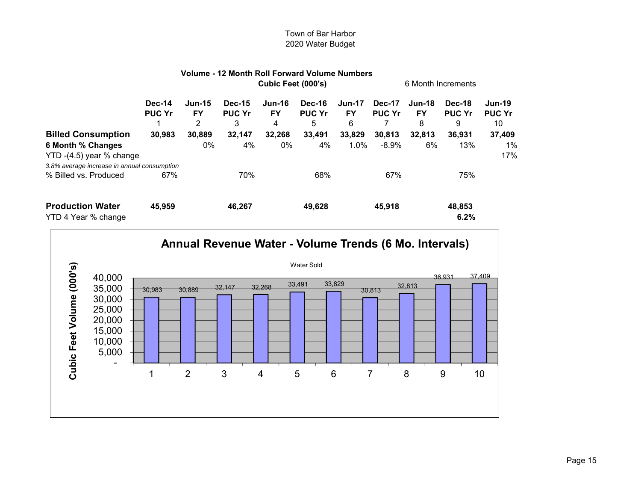|                                                |                                |                            | Volume - 12 Month Roll Forward Volume Numbers |                                 |                                     |                                 |                                |                                 |                              |                                      |
|------------------------------------------------|--------------------------------|----------------------------|-----------------------------------------------|---------------------------------|-------------------------------------|---------------------------------|--------------------------------|---------------------------------|------------------------------|--------------------------------------|
|                                                | Cubic Feet (000's)             |                            |                                               |                                 |                                     |                                 | 6 Month Increments             |                                 |                              |                                      |
|                                                | <b>Dec-14</b><br><b>PUC Yr</b> | $Jun-15$<br><b>FY</b><br>2 | <b>Dec-15</b><br><b>PUC Yr</b><br>3           | <b>Jun-16</b><br><b>FY</b><br>4 | <b>Dec-16</b><br><b>PUC Yr</b><br>5 | <b>Jun-17</b><br><b>FY</b><br>6 | <b>Dec-17</b><br><b>PUC Yr</b> | <b>Jun-18</b><br><b>FY</b><br>8 | Dec-18<br><b>PUC Yr</b><br>9 | <b>Jun-19</b><br><b>PUC Yr</b><br>10 |
| <b>Billed Consumption</b>                      | 30,983                         | 30,889                     | 32,147                                        | 32,268                          | 33,491                              | 33,829                          | 30,813                         | 32,813                          | 36,931                       | 37,409                               |
| 6 Month % Changes<br>YTD -(4.5) year % change  |                                | 0%                         | 4%                                            | 0%                              | 4%                                  | $1.0\%$                         | $-8.9%$                        | 6%                              | 13%                          | 1%<br>17%                            |
| 3.8% average increase in annual consumption    |                                |                            |                                               |                                 |                                     |                                 |                                |                                 |                              |                                      |
| % Billed vs. Produced                          | 67%                            |                            | 70%                                           |                                 | 68%                                 |                                 | 67%                            |                                 | 75%                          |                                      |
| <b>Production Water</b><br>YTD 4 Year % change | 45,959                         |                            | 46,267                                        |                                 | 49,628                              |                                 | 45,918                         |                                 | 48,853<br>6.2%               |                                      |

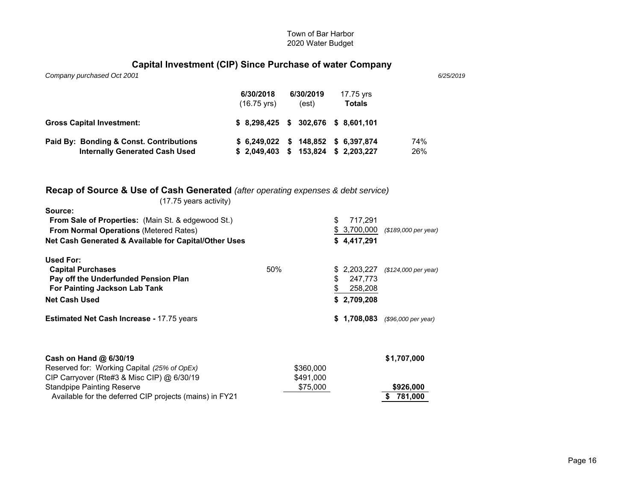## **Capital Investment (CIP) Since Purchase of water Company**

| Company purchased Oct 2001                                                       |                                      |                    |                                        | 6/25/2019  |
|----------------------------------------------------------------------------------|--------------------------------------|--------------------|----------------------------------------|------------|
|                                                                                  | 6/30/2018<br>$(16.75 \text{ yrs})$   | 6/30/2019<br>(est) | 17.75 yrs<br><b>Totals</b>             |            |
| <b>Gross Capital Investment:</b>                                                 | $$8.298.425$ $$302.676$ $$8.601.101$ |                    |                                        |            |
| Paid By: Bonding & Const. Contributions<br><b>Internally Generated Cash Used</b> | \$6.249.022<br>\$2.049.403           | 153,824<br>S.      | $$148,852$ $$6,397,874$<br>\$2,203,227 | 74%<br>26% |

## **Recap of Source & Use of Cash Generated** *(after operating expenses & debt service)*

| (17.75 years activity)                                  |     |           |    |              |                      |
|---------------------------------------------------------|-----|-----------|----|--------------|----------------------|
| Source:                                                 |     |           |    |              |                      |
| From Sale of Properties: (Main St. & edgewood St.)      |     |           | \$ | 717,291      |                      |
| From Normal Operations (Metered Rates)                  |     |           |    | \$ 3,700,000 | (\$189,000 per year) |
| Net Cash Generated & Available for Capital/Other Uses   |     |           |    | \$4,417,291  |                      |
| Used For:                                               |     |           |    |              |                      |
| <b>Capital Purchases</b>                                | 50% |           |    | 2,203,227    | (\$124,000 per year) |
| Pay off the Underfunded Pension Plan                    |     |           | \$ | 247,773      |                      |
| For Painting Jackson Lab Tank                           |     |           |    | 258,208      |                      |
| <b>Net Cash Used</b>                                    |     |           |    | \$2,709,208  |                      |
| <b>Estimated Net Cash Increase - 17.75 years</b>        |     |           | S. | 1,708,083    | (\$96,000 per year)  |
| Cash on Hand @ 6/30/19                                  |     |           |    |              | \$1,707,000          |
| Reserved for: Working Capital (25% of OpEx)             |     | \$360,000 |    |              |                      |
| CIP Carryover (Rte#3 & Misc CIP) @ 6/30/19              |     | \$491,000 |    |              |                      |
| <b>Standpipe Painting Reserve</b>                       |     | \$75,000  |    |              | \$926,000            |
| Available for the deferred CIP projects (mains) in FY21 |     |           |    |              | \$781,000            |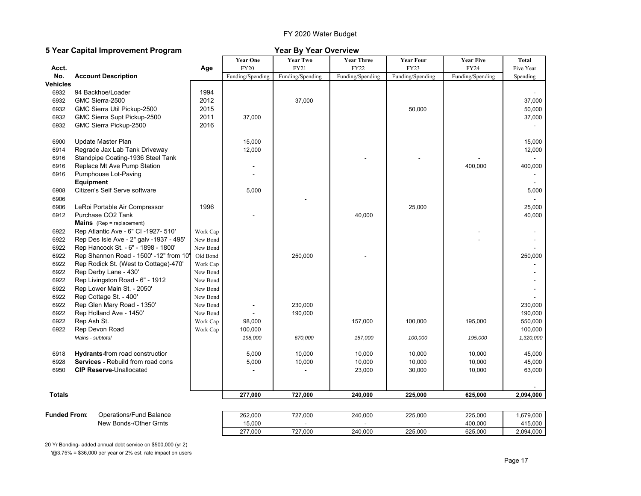## FY 2020 Water Budget

## **5 Year Capital Improvement Program Year By Year Overview**

|               |                                          |          | <b>Year One</b>  | <b>Year Two</b>  | <b>Year Three</b> | <b>Year Four</b> | <b>Year Five</b> | Total     |
|---------------|------------------------------------------|----------|------------------|------------------|-------------------|------------------|------------------|-----------|
| Acct.         |                                          | Age      | <b>FY20</b>      | FY21             | FY22              | <b>FY23</b>      | <b>FY24</b>      | Five Year |
| No.           | <b>Account Description</b>               |          | Funding/Spending | Funding/Spending | Funding/Spending  | Funding/Spending | Funding/Spending | Spending  |
| Vehicles      |                                          |          |                  |                  |                   |                  |                  |           |
| 6932          | 94 Backhoe/Loader                        | 1994     |                  |                  |                   |                  |                  |           |
| 6932          | GMC Sierra-2500                          | 2012     |                  | 37,000           |                   |                  |                  | 37,000    |
| 6932          | GMC Sierra Util Pickup-2500              | 2015     |                  |                  |                   | 50,000           |                  | 50,000    |
| 6932          | GMC Sierra Supt Pickup-2500              | 2011     | 37,000           |                  |                   |                  |                  | 37,000    |
| 6932          | GMC Sierra Pickup-2500                   | 2016     |                  |                  |                   |                  |                  |           |
| 6900          | Update Master Plan                       |          | 15,000           |                  |                   |                  |                  | 15,000    |
| 6914          | Regrade Jax Lab Tank Driveway            |          | 12,000           |                  |                   |                  |                  | 12,000    |
| 6916          | Standpipe Coating-1936 Steel Tank        |          |                  |                  |                   |                  |                  |           |
| 6916          | Replace Mt Ave Pump Station              |          |                  |                  |                   |                  | 400,000          | 400,000   |
| 6916          | Pumphouse Lot-Paving                     |          |                  |                  |                   |                  |                  |           |
|               | <b>Equipment</b>                         |          |                  |                  |                   |                  |                  |           |
| 6908          | Citizen's Self Serve software            |          | 5,000            |                  |                   |                  |                  | 5,000     |
| 6906          |                                          |          |                  |                  |                   |                  |                  |           |
| 6906          | LeRoi Portable Air Compressor            | 1996     |                  |                  |                   | 25,000           |                  | 25,000    |
| 6912          | Purchase CO2 Tank                        |          |                  |                  | 40,000            |                  |                  | 40,000    |
|               | <b>Mains</b> (Rep = replacement)         |          |                  |                  |                   |                  |                  |           |
| 6922          | Rep Atlantic Ave - 6" CI -1927- 510"     | Work Cap |                  |                  |                   |                  |                  |           |
| 6922          | Rep Des Isle Ave - 2" galv -1937 - 495'  | New Bond |                  |                  |                   |                  |                  |           |
| 6922          | Rep Hancock St. - 6" - 1898 - 1800'      | New Bond |                  |                  |                   |                  |                  |           |
| 6922          | Rep Shannon Road - 1500' -12" from 10'   | Old Bond |                  | 250,000          |                   |                  |                  | 250,000   |
| 6922          | Rep Rodick St. (West to Cottage)-470'    | Work Cap |                  |                  |                   |                  |                  |           |
| 6922          | Rep Derby Lane - 430'                    | New Bond |                  |                  |                   |                  |                  |           |
| 6922          | Rep Livingston Road - 6" - 1912          | New Bond |                  |                  |                   |                  |                  |           |
| 6922          | Rep Lower Main St. - 2050'               | New Bond |                  |                  |                   |                  |                  |           |
| 6922          | Rep Cottage St. - 400'                   | New Bond |                  |                  |                   |                  |                  |           |
| 6922          | Rep Glen Mary Road - 1350'               | New Bond |                  | 230,000          |                   |                  |                  | 230,000   |
| 6922          | Rep Holland Ave - 1450'                  | New Bond |                  | 190,000          |                   |                  |                  | 190,000   |
| 6922          | Rep Ash St.                              | Work Cap | 98,000           |                  | 157,000           | 100,000          | 195,000          | 550,000   |
| 6922          | Rep Devon Road                           | Work Cap | 100,000          |                  |                   |                  |                  | 100,000   |
|               | Mains - subtotal                         |          | 198,000          | 670,000          | 157,000           | 100,000          | 195,000          | 1,320,000 |
| 6918          | <b>Hydrants-from road constructior</b>   |          | 5,000            | 10,000           | 10,000            | 10,000           | 10,000           | 45,000    |
| 6928          | <b>Services - Rebuild from road cons</b> |          | 5,000            | 10,000           | 10,000            | 10,000           | 10,000           | 45,000    |
| 6950          | <b>CIP Reserve-Unallocated</b>           |          |                  |                  | 23,000            | 30,000           | 10,000           | 63,000    |
|               |                                          |          |                  |                  |                   |                  |                  |           |
| <b>Totals</b> |                                          |          | 277,000          | 727,000          | 240,000           | 225,000          | 625,000          | 2,094,000 |
|               |                                          |          |                  |                  |                   |                  |                  |           |
| Funded From∶  | Operations/Fund Balance                  |          | 262,000          | 727,000          | 240,000           | 225,000          | 225,000          | 1,679,000 |
|               | New Bonds-/Other Grnts                   |          | 15,000           |                  |                   |                  | 400,000          | 415,000   |
|               |                                          |          | 277,000          | 727,000          | 240,000           | 225,000          | 625,000          | 2,094,000 |

20 Yr Bonding- added annual debt service on \$500,000 (yr 2) '@3.75% = \$36,000 per year or 2% est. rate impact on users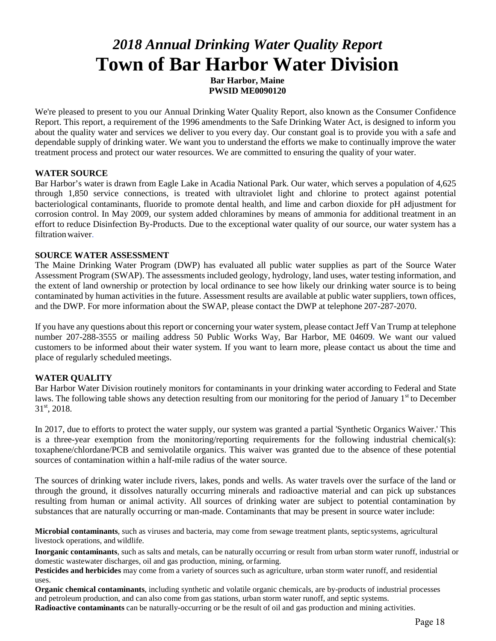# *2018 Annual Drinking Water Quality Report* **Town of Bar Harbor Water Division**

**Bar Harbor, Maine PWSID ME0090120**

We're pleased to present to you our Annual Drinking Water Quality Report, also known as the Consumer Confidence Report. This report, a requirement of the 1996 amendments to the Safe Drinking Water Act, is designed to inform you about the quality water and services we deliver to you every day. Our constant goal is to provide you with a safe and dependable supply of drinking water. We want you to understand the efforts we make to continually improve the water treatment process and protect our water resources. We are committed to ensuring the quality of your water.

## **WATER SOURCE**

Bar Harbor's water is drawn from Eagle Lake in Acadia National Park. Our water, which serves a population of 4,625 through 1,850 service connections, is treated with ultraviolet light and chlorine to protect against potential bacteriological contaminants, fluoride to promote dental health, and lime and carbon dioxide for pH adjustment for corrosion control. In May 2009, our system added chloramines by means of ammonia for additional treatment in an effort to reduce Disinfection By-Products. Due to the exceptional water quality of our source, our water system has a filtration waiver.

## **SOURCE WATER ASSESSMENT**

The Maine Drinking Water Program (DWP) has evaluated all public water supplies as part of the Source Water Assessment Program (SWAP). The assessments included geology, hydrology, land uses, water testing information, and the extent of land ownership or protection by local ordinance to see how likely our drinking water source is to being contaminated by human activities in the future. Assessment results are available at public water suppliers, town offices, and the DWP. For more information about the SWAP, please contact the DWP at telephone 207-287-2070.

If you have any questions about this report or concerning your water system, please contact Jeff Van Trump at telephone number 207-288-3555 or mailing address 50 Public Works Way, Bar Harbor, ME 04609**.** We want our valued customers to be informed about their water system. If you want to learn more, please contact us about the time and place of regularly scheduled meetings.

## **WATER QUALITY**

Bar Harbor Water Division routinely monitors for contaminants in your drinking water according to Federal and State laws. The following table shows any detection resulting from our monitoring for the period of January  $1<sup>st</sup>$  to December  $31<sup>st</sup>$ , 2018.

In 2017, due to efforts to protect the water supply, our system was granted a partial 'Synthetic Organics Waiver.' This is a three-year exemption from the monitoring/reporting requirements for the following industrial chemical(s): toxaphene/chlordane/PCB and semivolatile organics. This waiver was granted due to the absence of these potential sources of contamination within a half-mile radius of the water source.

The sources of drinking water include rivers, lakes, ponds and wells. As water travels over the surface of the land or through the ground, it dissolves naturally occurring minerals and radioactive material and can pick up substances resulting from human or animal activity. All sources of drinking water are subject to potential contamination by substances that are naturally occurring or man-made. Contaminants that may be present in source water include:

**Microbial contaminants**, such as viruses and bacteria, may come from sewage treatment plants, septicsystems, agricultural livestock operations, and wildlife.

**Inorganic contaminants**, such as salts and metals, can be naturally occurring or result from urban storm water runoff, industrial or domestic wastewater discharges, oil and gas production, mining, orfarming.

**Pesticides and herbicides** may come from a variety of sources such as agriculture, urban storm water runoff, and residential uses.

**Organic chemical contaminants**, including synthetic and volatile organic chemicals, are by-products of industrial processes and petroleum production, and can also come from gas stations, urban storm water runoff, and septic systems.

**Radioactive contaminants** can be naturally-occurring or be the result of oil and gas production and mining activities.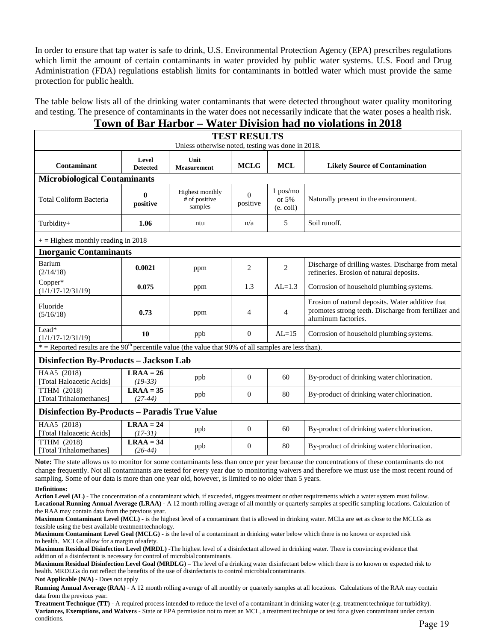In order to ensure that tap water is safe to drink, U.S. Environmental Protection Agency (EPA) prescribes regulations which limit the amount of certain contaminants in water provided by public water systems. U.S. Food and Drug Administration (FDA) regulations establish limits for contaminants in bottled water which must provide the same protection for public health.

The table below lists all of the drinking water contaminants that were detected throughout water quality monitoring and testing. The presence of contaminants in the water does not necessarily indicate that the water poses a health risk.

# **Town of Bar Harbor – Water Division had no violations in 2018**

| <b>TEST RESULTS</b><br>Unless otherwise noted, testing was done in 2018.                                |                                      |                                             |                      |                                         |                                                                                                                                 |  |  |  |
|---------------------------------------------------------------------------------------------------------|--------------------------------------|---------------------------------------------|----------------------|-----------------------------------------|---------------------------------------------------------------------------------------------------------------------------------|--|--|--|
|                                                                                                         |                                      |                                             |                      |                                         |                                                                                                                                 |  |  |  |
| Contaminant                                                                                             | Level<br><b>Detected</b>             | Unit<br><b>Measurement</b>                  | <b>MCLG</b>          | <b>MCL</b>                              | <b>Likely Source of Contamination</b>                                                                                           |  |  |  |
| <b>Microbiological Contaminants</b>                                                                     |                                      |                                             |                      |                                         |                                                                                                                                 |  |  |  |
| <b>Total Coliform Bacteria</b>                                                                          | $\bf{0}$<br>positive                 | Highest monthly<br># of positive<br>samples | $\Omega$<br>positive | $1$ pos/mo<br>or $5%$<br>$(e.$ coli $)$ | Naturally present in the environment.                                                                                           |  |  |  |
| Turbidity+                                                                                              | 1.06                                 | ntu                                         | n/a                  | 5                                       | Soil runoff.                                                                                                                    |  |  |  |
|                                                                                                         | $+=$ Highest monthly reading in 2018 |                                             |                      |                                         |                                                                                                                                 |  |  |  |
| <b>Inorganic Contaminants</b>                                                                           |                                      |                                             |                      |                                         |                                                                                                                                 |  |  |  |
| Barium<br>(2/14/18)                                                                                     | 0.0021                               | ppm                                         | $\overline{c}$       | 2                                       | Discharge of drilling wastes. Discharge from metal<br>refineries. Erosion of natural deposits.                                  |  |  |  |
| $Copper^*$<br>$(1/1/17 - 12/31/19)$                                                                     | 0.075                                | ppm                                         | 1.3                  | $AL=1.3$                                | Corrosion of household plumbing systems.                                                                                        |  |  |  |
| Fluoride<br>(5/16/18)                                                                                   | 0.73                                 | ppm                                         | $\overline{4}$       | $\overline{4}$                          | Erosion of natural deposits. Water additive that<br>promotes strong teeth. Discharge from fertilizer and<br>aluminum factories. |  |  |  |
| Lead*<br>$(1/1/17 - 12/31/19)$                                                                          | 10                                   | ppb                                         | $\overline{0}$       | $AL=15$                                 | Corrosion of household plumbing systems.                                                                                        |  |  |  |
| * = Reported results are the $90th$ percentile value (the value that 90% of all samples are less than). |                                      |                                             |                      |                                         |                                                                                                                                 |  |  |  |
| Disinfection By-Products - Jackson Lab                                                                  |                                      |                                             |                      |                                         |                                                                                                                                 |  |  |  |
| HAA5 (2018)<br>[Total Haloacetic Acids]                                                                 | $LRAA = 26$<br>$(19-33)$             | ppb                                         | $\Omega$             | 60                                      | By-product of drinking water chlorination.                                                                                      |  |  |  |
| <b>TTHM (2018)</b><br>[Total Trihalomethanes]                                                           | $LRAA = 35$<br>$(27-44)$             | ppb                                         | $\Omega$             | 80                                      | By-product of drinking water chlorination.                                                                                      |  |  |  |
| <b>Disinfection By-Products - Paradis True Value</b>                                                    |                                      |                                             |                      |                                         |                                                                                                                                 |  |  |  |
| HAA5 (2018)<br>[Total Haloacetic Acids]                                                                 | $LRAA = 24$<br>$(17-31)$             | ppb                                         | $\overline{0}$       | 60                                      | By-product of drinking water chlorination.                                                                                      |  |  |  |
| <b>TTHM</b> (2018)<br>[Total Trihalomethanes]                                                           | $LRAA = 34$<br>$(26-44)$             | ppb                                         | $\Omega$             | 80                                      | By-product of drinking water chlorination.                                                                                      |  |  |  |

**Note:** The state allows us to monitor for some contaminants less than once per year because the concentrations of these contaminants do not change frequently. Not all contaminants are tested for every year due to monitoring waivers and therefore we must use the most recent round of sampling. Some of our data is more than one year old, however, is limited to no older than 5 years.

### **Definitions:**

**Action Level (AL)** - The concentration of a contaminant which, if exceeded, triggers treatment or other requirements which a water system must follow. **Locational Running Annual Average (LRAA)** - A 12 month rolling average of all monthly or quarterly samples at specific sampling locations. Calculation of the RAA may contain data from the previous year.

**Maximum Contaminant Level (MCL)** - is the highest level of a contaminant that is allowed in drinking water. MCLs are set as close to the MCLGs as feasible using the best available treatment technology.

**Maximum Contaminant Level Goal (MCLG)** - is the level of a contaminant in drinking water below which there is no known or expected risk to health. MCLGs allow for a margin ofsafety.

**Maximum Residual Disinfection Level (MRDL)** -The highest level of a disinfectant allowed in drinking water. There is convincing evidence that addition of a disinfectant is necessary for control of microbialcontaminants.

**Maximum Residual Disinfection Level Goal (MRDLG)** – The level of a drinking water disinfectant below which there is no known or expected risk to health. MRDLGs do not reflect the benefits of the use of disinfectants to control microbialcontaminants.

**Not Applicable (N/A)** - Does not apply

**Running Annual Average (RAA)** - A 12 month rolling average of all monthly or quarterly samples at all locations. Calculations of the RAA may contain data from the previous year.

**Treatment Technique (TT)** - A required process intended to reduce the level of a contaminant in drinking water (e.g. treatment technique for turbidity). **Variances, Exemptions, and Waivers** - State or EPA permission not to meet an MCL, a treatment technique or test for a given contaminant under certain conditions. Page 19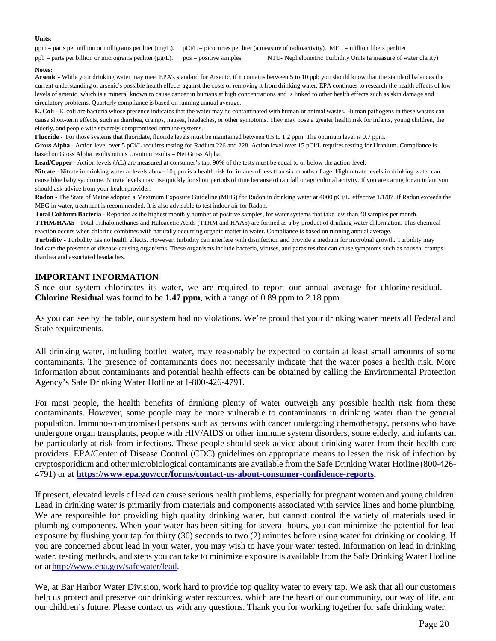### **Units:**

ppm = parts per million or milligrams per liter (mg/L). pCi/L = picocuries per liter (a measure of radioactivity). MFL = million fibers perliter ppb = parts per billion or micrograms perliter (µg/L). pos = positive samples. NTU- Nephelometric Turbidity Units (a measure of water clarity)

### **Notes:**

**Arsenic** - While your drinking water may meet EPA's standard for Arsenic, if it contains between 5 to 10 ppb you should know that the standard balances the current understanding of arsenic's possible health effects against the costs of removing it from drinking water. EPA continues to research the health effects of low levels of arsenic, which is a mineral known to cause cancer in humans at high concentrations and is linked to other health effects such as skin damage and circulatory problems. Quarterly compliance is based on running annual average.

**E. Coli** - E. coli are bacteria whose presence indicates that the water may be contaminated with human or animal wastes. Human pathogens in these wastes can cause short-term effects, such as diarrhea, cramps, nausea, headaches, or other symptoms. They may pose a greater health risk for infants, young children, the elderly, and people with severely-compromised immune systems.

**Fluoride** - For those systems that fluoridate, fluoride levels must be maintained between 0.5 to 1.2 ppm. The optimum level is 0.7 ppm. **Gross Alpha** - Action level over 5 pCi/L requires testing for Radium 226 and 228. Action level over 15 pCi/L requires testing for Uranium. Compliance is based on Gross Alpha results minus Uranium results = Net Gross Alpha.

**Lead/Copper** - Action levels (AL) are measured at consumer's tap. 90% of the tests must be equal to or below the action level.

**Nitrate** - Nitrate in drinking water at levels above 10 ppm is a health risk for infants of less than six months of age. High nitrate levels in drinking water can cause blue baby syndrome. Nitrate levels may rise quickly for short periods of time because of rainfall or agricultural activity. If you are caring for an infant you should ask advice from your health provider.

Radon - The State of Maine adopted a Maximum Exposure Guideline (MEG) for Radon in drinking water at 4000 pCi/L, effective 1/1/07. If Radon exceeds the MEG in water, treatment is recommended. It is also advisable to test indoor air for Radon.

**Total Coliform Bacteria** - Reported as the highest monthly number of positive samples, for water systems that take less than 40 samples per month. **TTHM/HAA5** - Total Trihalomethanes and Haloacetic Acids (TTHM and HAA5) are formed as a by-product of drinking water chlorination. This chemical reaction occurs when chlorine combines with naturally occurring organic matter in water. Compliance is based on running annual average.

**Turbidity** - Turbidity has no health effects. However, turbidity can interfere with disinfection and provide a medium for microbial growth. Turbidity may indicate the presence of disease-causing organisms. These organisms include bacteria, viruses, and parasites that can cause symptoms such as nausea, cramps, diarrhea and associated headaches.

## **IMPORTANT INFORMATION**

Since our system chlorinates its water, we are required to report our annual average for chlorine residual. **Chlorine Residual** was found to be **1.47 ppm**, with a range of 0.89 ppm to 2.18 ppm.

As you can see by the table, our system had no violations. We're proud that your drinking water meets all Federal and State requirements.

All drinking water, including bottled water, may reasonably be expected to contain at least small amounts of some contaminants. The presence of contaminants does not necessarily indicate that the water poses a health risk. More information about contaminants and potential health effects can be obtained by calling the Environmental Protection Agency's Safe Drinking Water Hotline at 1-800-426-4791.

For most people, the health benefits of drinking plenty of water outweigh any possible health risk from these contaminants. However, some people may be more vulnerable to contaminants in drinking water than the general population. Immuno-compromised persons such as persons with cancer undergoing chemotherapy, persons who have undergone organ transplants, people with HIV/AIDS or other immune system disorders, some elderly, and infants can be particularly at risk from infections. These people should seek advice about drinking water from their health care providers. EPA/Center of Disease Control (CDC) guidelines on appropriate means to lessen the risk of infection by cryptosporidium and other microbiological contaminants are available from the Safe Drinking Water Hotline (800-426- 4791) or at **[https://www.epa.gov/ccr/forms/contact-us-about-consumer-confidence-reports.](https://www.epa.gov/ccr/forms/contact-us-about-consumer-confidence-reports)** 

If present, elevated levels of lead can cause serious health problems, especially for pregnant women and young children. Lead in drinking water is primarily from materials and components associated with service lines and home plumbing. We are responsible for providing high quality drinking water, but cannot control the variety of materials used in plumbing components. When your water has been sitting for several hours, you can minimize the potential for lead exposure by flushing your tap for thirty (30) seconds to two (2) minutes before using water for drinking or cooking. If you are concerned about lead in your water, you may wish to have your water tested. Information on lead in drinking water, testing methods, and steps you can take to minimize exposure is available from the Safe Drinking Water Hotline or a[thttp://www.epa.gov/safewater/lead.](http://www.epa.gov/safewater/lead)

We, at Bar Harbor Water Division, work hard to provide top quality water to every tap. We ask that all our customers help us protect and preserve our drinking water resources, which are the heart of our community, our way of life, and our children's future. Please contact us with any questions. Thank you for working together for safe drinking water.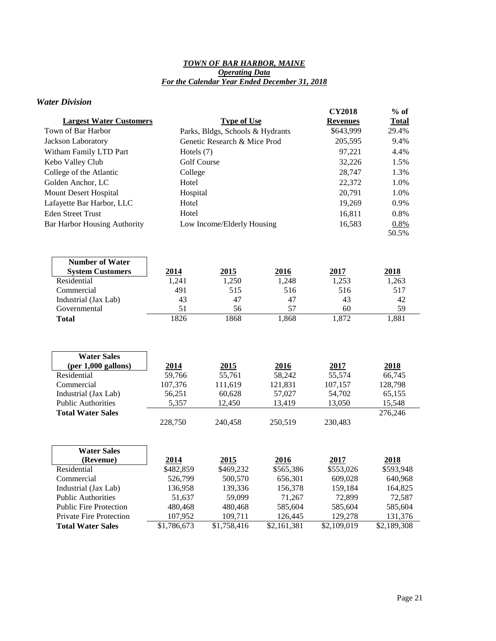## *TOWN OF BAR HARBOR, MAINE Operating Data For the Calendar Year Ended December 31, 2018*

## *Water Division*

| <b>Largest Water Customers</b>       |                    | <b>Type of Use</b>               |           | <b>CY2018</b><br><b>Revenues</b> | $%$ of<br><b>Total</b> |
|--------------------------------------|--------------------|----------------------------------|-----------|----------------------------------|------------------------|
| Town of Bar Harbor                   |                    | Parks, Bldgs, Schools & Hydrants |           | \$643,999                        | 29.4%                  |
| Jackson Laboratory                   |                    | Genetic Research & Mice Prod     |           | 205,595                          | 9.4%                   |
| Witham Family LTD Part               | Hotels $(7)$       |                                  |           | 97,221                           | 4.4%                   |
| Kebo Valley Club                     | <b>Golf Course</b> |                                  | 32,226    | 1.5%                             |                        |
| College of the Atlantic              | College            |                                  |           | 28,747                           | 1.3%                   |
| Golden Anchor, LC                    | Hotel              |                                  |           | 22,372                           | 1.0%                   |
| Mount Desert Hospital                | Hospital           |                                  |           | 20,791                           | 1.0%                   |
| Lafayette Bar Harbor, LLC            | Hotel              |                                  |           | 19,269                           | 0.9%                   |
| <b>Eden Street Trust</b>             | Hotel              |                                  |           | 16,811                           | 0.8%                   |
| <b>Bar Harbor Housing Authority</b>  |                    | Low Income/Elderly Housing       |           | 16,583                           | 0.8%                   |
|                                      |                    |                                  |           |                                  | 50.5%                  |
|                                      |                    |                                  |           |                                  |                        |
|                                      |                    |                                  |           |                                  |                        |
| <b>Number of Water</b>               |                    |                                  |           |                                  |                        |
| <b>System Customers</b>              | 2014               | 2015                             | 2016      | 2017                             | 2018                   |
| Residential                          | 1,241              | 1,250                            | 1,248     | 1,253                            | 1,263                  |
| Commercial                           | 491                | 515                              | 516       | 516                              | 517                    |
| Industrial (Jax Lab)<br>Governmental | 43<br>51           | 47<br>56                         | 47<br>57  | 43<br>60                         | 42<br>59               |
| <b>Total</b>                         | 1826               | 1868                             | 1,868     | 1,872                            | 1,881                  |
|                                      |                    |                                  |           |                                  |                        |
|                                      |                    |                                  |           |                                  |                        |
|                                      |                    |                                  |           |                                  |                        |
| <b>Water Sales</b>                   |                    |                                  |           |                                  |                        |
| $(per 1,000$ gallons)                | 2014               | 2015                             | 2016      | 2017                             | 2018                   |
| Residential                          | 59,766             | 55,761                           | 58,242    | 55,574                           | 66,745                 |
| Commercial                           | 107,376            | 111,619                          | 121,831   | 107,157                          | 128,798                |
| Industrial (Jax Lab)                 | 56,251             | 60,628                           | 57,027    | 54,702                           | 65,155                 |
| <b>Public Authorities</b>            | 5,357              | 12,450                           | 13,419    | 13,050                           | 15,548                 |
| <b>Total Water Sales</b>             |                    |                                  |           |                                  | 276,246                |
|                                      | 228,750            | 240,458                          | 250,519   | 230,483                          |                        |
|                                      |                    |                                  |           |                                  |                        |
| <b>Water Sales</b>                   |                    |                                  |           |                                  |                        |
| (Revenue)                            | 2014               | 2015                             | 2016      | 2017                             | 2018                   |
| Residential                          | \$482,859          | \$469,232                        | \$565,386 | \$553,026                        | \$593,948              |
| Commercial                           | 526,799            | 500,570                          | 656,301   | 609,028                          | 640,968                |
| Industrial (Jax Lab)                 | 136,958            | 139,336                          | 156,378   | 159,184                          | 164,825                |
| <b>Public Authorities</b>            | 51,637             | 59,099                           | 71,267    | 72,899                           | 72,587                 |

Public Fire Protection 480,468 480,468 585,604 585,604 585,604 Private Fire Protection 107,952 109,711 126,445 129,278 131,376 **Total Water Sales** \$1,786,673 \$1,758,416 \$2,161,381 \$2,109,019 \$2,189,308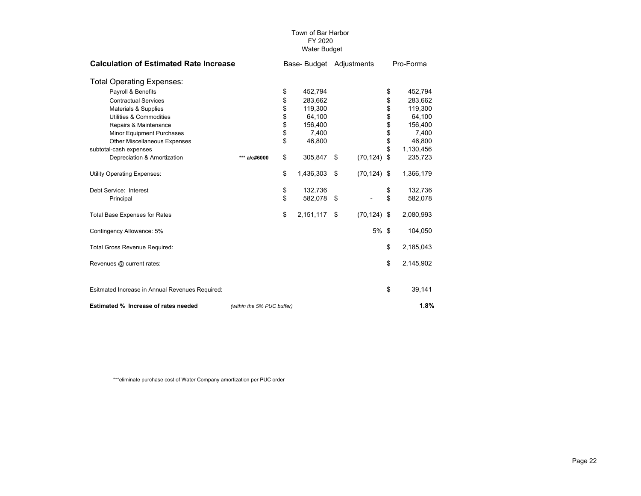| <b>Calculation of Estimated Rate Increase</b>   |                            | Base-Budget Adjustments |           |     |                | Pro-Forma |           |
|-------------------------------------------------|----------------------------|-------------------------|-----------|-----|----------------|-----------|-----------|
| <b>Total Operating Expenses:</b>                |                            |                         |           |     |                |           |           |
| Payroll & Benefits                              |                            | \$                      | 452,794   |     |                | \$        | 452,794   |
| <b>Contractual Services</b>                     |                            | \$                      | 283.662   |     |                | \$        | 283.662   |
| <b>Materials &amp; Supplies</b>                 |                            | \$                      | 119,300   |     |                | \$        | 119,300   |
| Utilities & Commodities                         |                            | \$                      | 64.100    |     |                | \$        | 64,100    |
| Repairs & Maintenance                           |                            |                         | 156,400   |     |                | \$        | 156,400   |
| <b>Minor Equipment Purchases</b>                |                            | \$                      | 7,400     |     |                | \$        | 7,400     |
| Other Miscellaneous Expenses                    |                            | \$                      | 46,800    |     |                | \$        | 46,800    |
| subtotal-cash expenses                          |                            |                         |           |     |                | \$        | 1,130,456 |
| Depreciation & Amortization                     | *** a/c#6000               | \$                      | 305,847   | \$  | (70, 124)      | \$        | 235,723   |
| <b>Utility Operating Expenses:</b>              |                            | \$                      | 1,436,303 | \$  | $(70, 124)$ \$ |           | 1,366,179 |
| Debt Service: Interest                          |                            | \$                      | 132,736   |     |                | \$        | 132,736   |
| Principal                                       |                            | \$                      | 582,078   | -\$ |                | \$        | 582,078   |
| <b>Total Base Expenses for Rates</b>            |                            | \$                      | 2,151,117 | \$  | $(70, 124)$ \$ |           | 2,080,993 |
| Contingency Allowance: 5%                       |                            |                         |           |     | 5% \$          |           | 104,050   |
| Total Gross Revenue Required:                   |                            |                         |           |     |                | \$        | 2,185,043 |
| Revenues @ current rates:                       |                            |                         |           |     |                | \$        | 2,145,902 |
| Esitmated Increase in Annual Revenues Required: |                            |                         |           |     |                | \$        | 39,141    |
| Estimated % Increase of rates needed            | (within the 5% PUC buffer) |                         |           |     |                |           | 1.8%      |

\*\*\*eliminate purchase cost of Water Company amortization per PUC order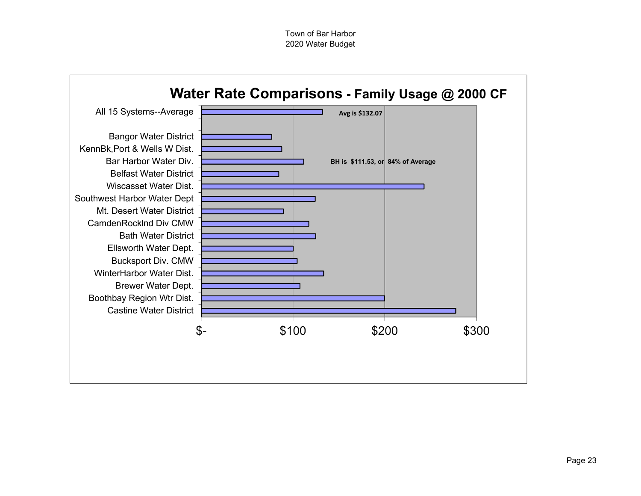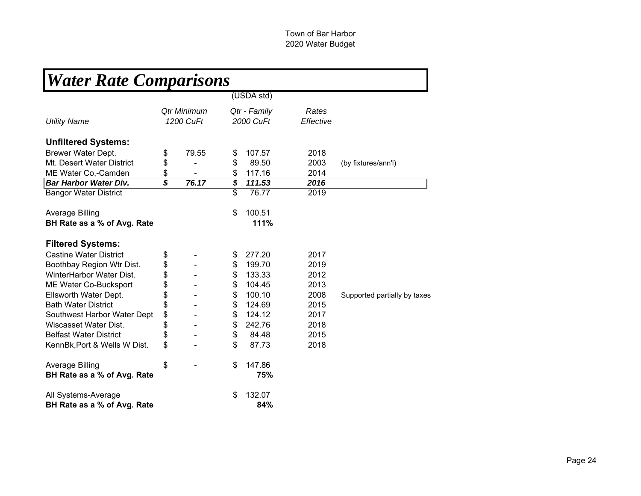| <b>Water Rate Comparisons</b> |                          |                          |                           |                    |                              |
|-------------------------------|--------------------------|--------------------------|---------------------------|--------------------|------------------------------|
|                               |                          |                          | (USDA std)                |                    |                              |
| <b>Utility Name</b>           |                          | Qtr Minimum<br>1200 CuFt | Qtr - Family<br>2000 CuFt | Rates<br>Effective |                              |
| <b>Unfiltered Systems:</b>    |                          |                          |                           |                    |                              |
| Brewer Water Dept.            | \$                       | 79.55                    | \$<br>107.57              | 2018               |                              |
| Mt. Desert Water District     | \$                       |                          | \$<br>89.50               | 2003               | (by fixtures/ann'l)          |
| ME Water Co,-Camden           | \$                       |                          | \$<br>117.16              | 2014               |                              |
| <b>Bar Harbor Water Div.</b>  | $\overline{\mathcal{S}}$ | 76.17                    | \$<br>111.53              | 2016               |                              |
| <b>Bangor Water District</b>  |                          |                          | \$<br>76.77               | 2019               |                              |
| <b>Average Billing</b>        |                          |                          | \$<br>100.51              |                    |                              |
| BH Rate as a % of Avg. Rate   |                          |                          | 111%                      |                    |                              |
| <b>Filtered Systems:</b>      |                          |                          |                           |                    |                              |
| <b>Castine Water District</b> | \$                       |                          | \$<br>277.20              | 2017               |                              |
| Boothbay Region Wtr Dist.     | \$                       |                          | \$<br>199.70              | 2019               |                              |
| WinterHarbor Water Dist.      | \$                       |                          | \$<br>133.33              | 2012               |                              |
| ME Water Co-Bucksport         | \$                       |                          | \$<br>104.45              | 2013               |                              |
| Ellsworth Water Dept.         | \$                       |                          | \$<br>100.10              | 2008               | Supported partially by taxes |
| <b>Bath Water District</b>    | \$                       |                          | \$<br>124.69              | 2015               |                              |
| Southwest Harbor Water Dept   | \$                       |                          | \$<br>124.12              | 2017               |                              |
| Wiscasset Water Dist.         | \$                       |                          | \$<br>242.76              | 2018               |                              |
| <b>Belfast Water District</b> | \$                       |                          | \$<br>84.48               | 2015               |                              |
| KennBk, Port & Wells W Dist.  | \$                       |                          | \$<br>87.73               | 2018               |                              |
| <b>Average Billing</b>        | \$                       |                          | \$<br>147.86              |                    |                              |
| BH Rate as a % of Avg. Rate   |                          |                          | 75%                       |                    |                              |
| All Systems-Average           |                          |                          | \$<br>132.07              |                    |                              |
| BH Rate as a % of Avg. Rate   |                          |                          | 84%                       |                    |                              |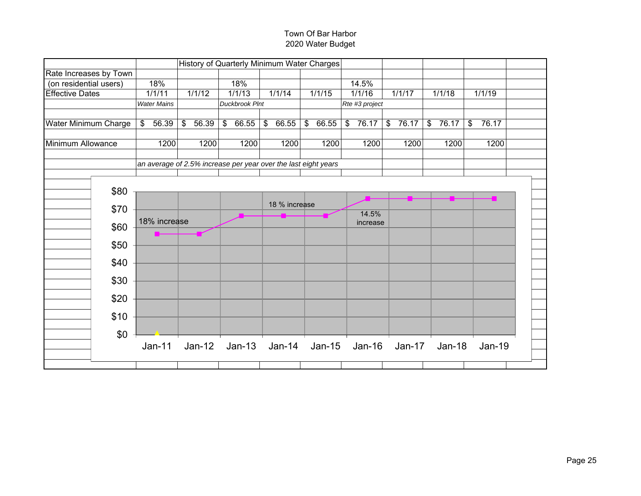|                        |      |                    |                                  | History of Quarterly Minimum Water Charges                     |                        |                                  |                |             |                                    |                                    |  |
|------------------------|------|--------------------|----------------------------------|----------------------------------------------------------------|------------------------|----------------------------------|----------------|-------------|------------------------------------|------------------------------------|--|
| Rate Increases by Town |      |                    |                                  |                                                                |                        |                                  |                |             |                                    |                                    |  |
| (on residential users) |      | 18%                |                                  | 18%                                                            |                        |                                  | 14.5%          |             |                                    |                                    |  |
| <b>Effective Dates</b> |      | 1/1/11             | 1/1/12                           | 1/1/13                                                         | 1/1/14                 | 1/1/15                           | 1/1/16         | 1/1/17      | 1/1/18                             | 1/1/19                             |  |
|                        |      | <b>Water Mains</b> |                                  | <b>Duckbrook PInt</b>                                          |                        |                                  | Rte #3 project |             |                                    |                                    |  |
| Water Minimum Charge   |      | 56.39<br>\$        | $\sqrt[6]{\frac{1}{2}}$<br>56.39 | $\$\$<br>66.55                                                 | $\frac{1}{2}$<br>66.55 | $\sqrt[6]{\frac{1}{2}}$<br>66.55 | \$<br>76.17    | \$<br>76.17 | 76.17<br>$\boldsymbol{\mathsf{S}}$ | $\boldsymbol{\mathsf{S}}$<br>76.17 |  |
| Minimum Allowance      |      | 1200               | 1200                             | 1200                                                           | 1200                   | 1200                             | 1200           | 1200        | 1200                               | 1200                               |  |
|                        |      |                    |                                  | an average of 2.5% increase per year over the last eight years |                        |                                  |                |             |                                    |                                    |  |
|                        |      |                    |                                  |                                                                |                        |                                  |                |             |                                    |                                    |  |
|                        | \$80 |                    |                                  |                                                                |                        |                                  |                |             |                                    |                                    |  |
|                        |      |                    |                                  |                                                                | 18 % increase          |                                  |                |             |                                    |                                    |  |
|                        | \$70 |                    |                                  |                                                                |                        |                                  | 14.5%          |             |                                    |                                    |  |
|                        | \$60 | 18% increase       |                                  |                                                                |                        |                                  | increase       |             |                                    |                                    |  |
|                        |      |                    |                                  |                                                                |                        |                                  |                |             |                                    |                                    |  |
|                        | \$50 |                    |                                  |                                                                |                        |                                  |                |             |                                    |                                    |  |
|                        | \$40 |                    |                                  |                                                                |                        |                                  |                |             |                                    |                                    |  |
|                        | \$30 |                    |                                  |                                                                |                        |                                  |                |             |                                    |                                    |  |
|                        | \$20 |                    |                                  |                                                                |                        |                                  |                |             |                                    |                                    |  |
|                        |      |                    |                                  |                                                                |                        |                                  |                |             |                                    |                                    |  |
|                        | \$10 |                    |                                  |                                                                |                        |                                  |                |             |                                    |                                    |  |
|                        | \$0  |                    |                                  |                                                                |                        |                                  |                |             |                                    |                                    |  |
|                        |      | Jan-11             | $Jan-12$                         |                                                                | Jan-13 Jan-14 Jan-15   |                                  |                |             | Jan-16 Jan-17 Jan-18               | <b>Jan-19</b>                      |  |
|                        |      |                    |                                  |                                                                |                        |                                  |                |             |                                    |                                    |  |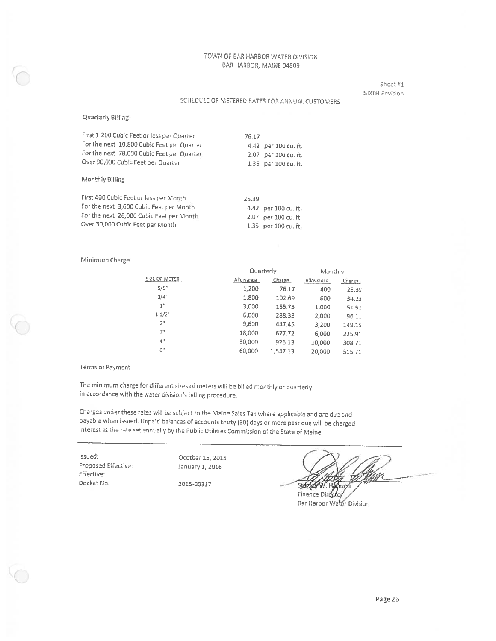Sheet #1 **SIXTH Revision** 

### SCHEDULE OF METERED RATES FOR ANNUAL CUSTOMERS

### Quarterly Billing

| First 1,200 Cubic Feet or less per Quarter<br>For the next 10,800 Cubic Feet per Quarter<br>For the next 78,000 Cubic Feet per Quarter<br>Over 90,000 Cubic Feet per Quarter | 76.17<br>2.07         | 4.42 per 100 cu. ft.<br>per 100 cu. ft.<br>1.35 per 100 cu. ft. |
|------------------------------------------------------------------------------------------------------------------------------------------------------------------------------|-----------------------|-----------------------------------------------------------------|
| Monthly Billing                                                                                                                                                              |                       |                                                                 |
| First 400 Cubic Feet or less per Month<br>For the next 3,600 Cubic Feet per Month<br>For the next 26,000 Cubic Feet per Month.<br>Over 30,000 Cubic Feet par Month           | 25.39<br>2.07<br>1.35 | 4.42 per 100 cu. ft.<br>per 100 cu. ft.<br>per 100 cu. ft.      |

### Minimum Charge

|                    |           | Quarterly |           |        |  |  |  |
|--------------------|-----------|-----------|-----------|--------|--|--|--|
| SIZE OF METER      | Allowance | Charge    | Allowance | Charge |  |  |  |
| 5/8"               | 1,200     | 76.17     | 400       | 25.39  |  |  |  |
| $3/4$ <sup>"</sup> | 1,800     | 102.69    | 600       | 34.23  |  |  |  |
| 1"                 | 3,000     | 155.73    | 1,000     | 51.91  |  |  |  |
| $1 - 1/2^n$        | 6,000     | 288.33    | 2,000     | 96.11  |  |  |  |
| 2"                 | 9,600     | 447.45    | 3,200     | 149.15 |  |  |  |
| 3"                 | 18,000    | 677.72    | 6,000     | 225.91 |  |  |  |
| 4'                 | 30,000    | 926.13    | 10,000    | 308.71 |  |  |  |
| 6'                 | 60,000    | 1,547.13  | 20,000    | 515.71 |  |  |  |

### Terms of Payment

The minimum charge for different sizes of meters will be billed monthly or quarterly in accordance with the water division's billing procedure.

Charges under these rates will be subject to the Maine Sales Tax where applicable and are due and payable when issued. Unpaid balances of accounts thirty (30) days or more past due will be charged interest at the rate set annually by the Public Utilities Commission of the State of Maine.

Issued: Proposed Effective: Effective: Docket No.

Ocotber 15, 2015 January 1, 2016

2015-00317

**State** н Finance Directo

Bar Harbor Water Division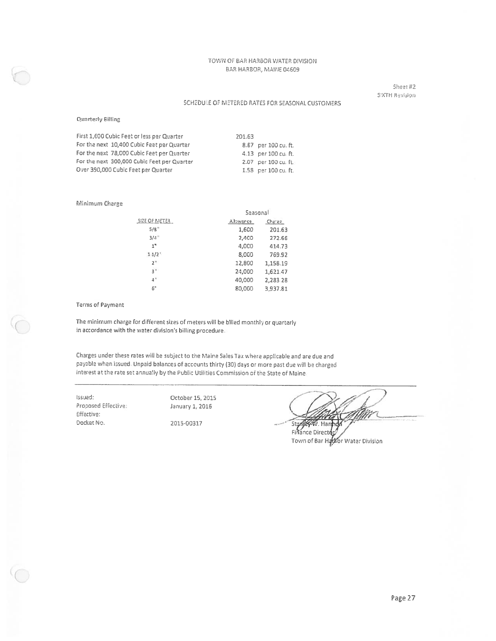Sheet #2 SIXTH Revision

### SCHEDULE OF METERED RATES FOR SEASONAL CUSTOMERS

### Quarterly Billing

| First 1,600 Cubic Feet or less per Quarter  | 201.63 |                      |
|---------------------------------------------|--------|----------------------|
| For the next 10,400 Cubic Feet per Quarter  |        | 8.87 per 100 cu. ft. |
| For the next 78,000 Cubic Feet per Quarter  |        | 4.13 per 100 cu. ft. |
| For the next 300,000 Cubic Feet per Quarter |        | 2.07 per 100 cu. ft. |
| Over 390,000 Cubic Feet per Quarter         |        | 1.58 per 100 cu. ft. |

#### Minimum Charge

|                        |           | Seasonal |  |  |  |
|------------------------|-----------|----------|--|--|--|
| SIZE OF METER          | ephawellA | Charge   |  |  |  |
| 5/8"                   | 1,600     | 201.63   |  |  |  |
| $3/4$ <sup>1</sup>     | 2,400     | 272.66   |  |  |  |
| 1"                     | 4,000     | 414.73   |  |  |  |
| $1 - 1/2$ <sup>*</sup> | 8,000     | 769.92   |  |  |  |
| 2 <sup>n</sup>         | 12,800    | 1,158.19 |  |  |  |
| 3 <sup>11</sup>        | 24,000    | 1,621.47 |  |  |  |
| 4"                     | 40,000    | 2,283.28 |  |  |  |
| 6"                     | 80,000    | 3.937.81 |  |  |  |

#### **Terms of Payment**

The minimum charge for different sizes of meters will be billed monthly or quarterly in accordance with the water division's billing procedure.

Charges under these rates will be subject to the Maine Sales Tax where applicable and are due and payable when issued. Unpaid balances of accounts thirty (30) days or more past due will be charged interest at the rate set annually by the Public Utilities Commission of the State of Maine.

Issued: Proposed Effective: Effective: Docket No.

October 15, 2015 January 1, 2016 2015-00317

Stanley W. Harmd

Finance Director Town of Bar Hatkor Water Division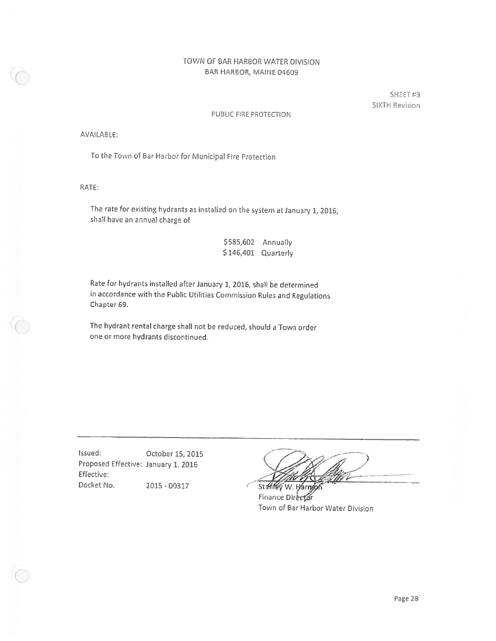SHEET#3 SIXTH Revision

### PUBLIC FIRE PROTECTION

AVAILABLE:

To the Town of Bar Harbor for Municipal Fire Protection

RATE:

The rate for existing hydrants as installed on the system at January 1, 2016, shall have an annual charge of

| \$585,602 | Annually  |
|-----------|-----------|
| \$146,401 | Quarterly |

Rate for hydrants installed after January 1, 2016, shall be determined in accordance with the Public Utilities Commission Rules and Regulations Chapter 69.

The hydrant rental charge shall not be reduced, should a Town order one or more hydrants discontinued.

Issued: October 15, 2015 Proposed Effective: January 1, 2016 Effective: Docket No. 2015 - 00317

Stanley

W. Harry Finance Director Town of Bar Harbor Water Division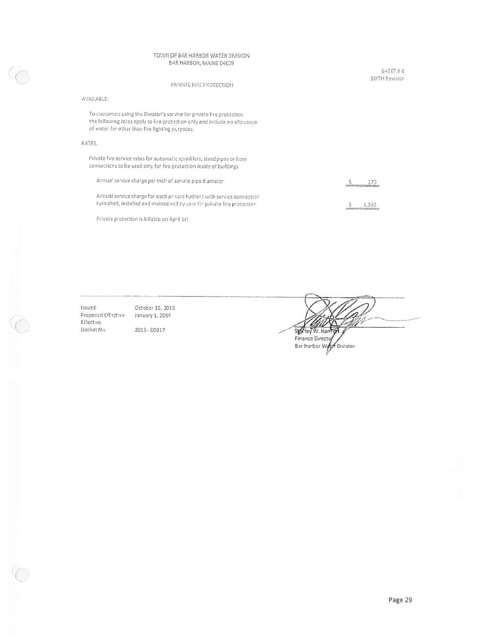### PRIVATE FIRE PROTECTION

### AVAILABLE:

To customers using the Division's service for private fire protection the following rates apply to fire protection only and include no allowance of water for other than fire fighting purposes.

### RATES:

Private fire service rates for automatic sprinklers, standpipes or hose connections to be used only for fire protection inside of buildings.

| Annual service charge per inch of service pipe diameter.                 | 170<br>the manufacturer of the control of the con- |
|--------------------------------------------------------------------------|----------------------------------------------------|
| Annual service charge for each private hydrant with service connection   | 1.362                                              |
| furnished, installed and maintained by user for private fire protection. | <u>,,,,,,,,,,,,,,,,,,,,,,,,,</u> ,                 |

Private protection is billable on April 1st

Issued: October 15, 2015 Proposed Effective: January 1, 2016 Effective. Docket No. 2015 - 00317

Sighley W. Harr Finance Director Bar Harbor World Division

SHEET # 4 SIXTH Revision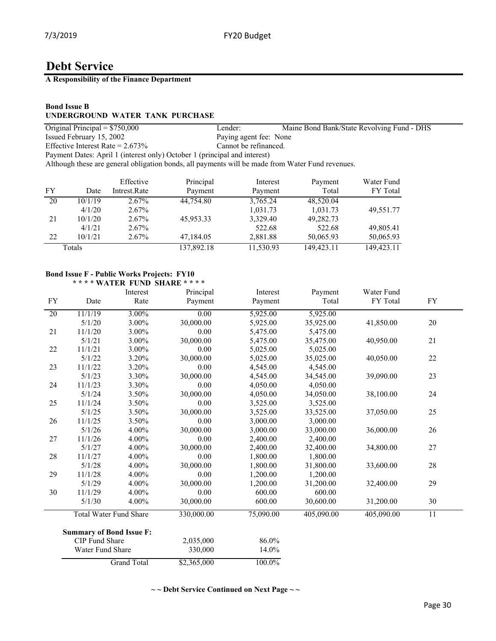**A Responsibility of the Finance Department**

## **Bond Issue B UNDERGROUND WATER TANK PURCHASE**

| Original Principal $= $750,000$                                                                  | Lender:                | Maine Bond Bank/State Revolving Fund - DHS |
|--------------------------------------------------------------------------------------------------|------------------------|--------------------------------------------|
| Issued February 15, 2002                                                                         | Paying agent fee: None |                                            |
| Effective Interest Rate = $2.673\%$                                                              | Cannot be refinanced.  |                                            |
| Payment Dates: April 1 (interest only) October 1 (principal and interest)                        |                        |                                            |
| Although these are general obligation bonds, all payments will be made from Water Fund revenues. |                        |                                            |
|                                                                                                  |                        |                                            |

|    |         | Effective    | Principal  | Interest  | Payment    | Water Fund |
|----|---------|--------------|------------|-----------|------------|------------|
| FY | Date    | Intrest.Rate | Payment    | Payment   | Total      | FY Total   |
| 20 | 10/1/19 | $2.67\%$     | 44,754.80  | 3,765.24  | 48,520.04  |            |
|    | 4/1/20  | 2.67%        |            | 1,031.73  | 1,031.73   | 49,551.77  |
| 21 | 10/1/20 | 2.67%        | 45,953.33  | 3,329.40  | 49,282.73  |            |
|    | 4/1/21  | 2.67%        |            | 522.68    | 522.68     | 49,805.41  |
| 22 | 10/1/21 | $2.67\%$     | 47,184.05  | 2,881.88  | 50,065.93  | 50,065.93  |
|    | Totals  |              | 137,892.18 | 11,530.93 | 149,423.11 | 149,423.11 |

### **Bond Issue F - Public Works Projects: FY10 \* \* \* \* WATER FUND SHARE \* \* \* \***

| <b>FY</b> | Date                            | Interest<br>Rate   | Principal<br>Payment | Interest<br>Payment | Payment<br>Total | Water Fund<br>FY Total | <b>FY</b> |
|-----------|---------------------------------|--------------------|----------------------|---------------------|------------------|------------------------|-----------|
| 20        | 11/1/19                         | 3.00%              | 0.00                 | 5,925.00            | 5,925.00         |                        |           |
|           | 5/1/20                          | 3.00%              | 30,000.00            | 5,925.00            | 35,925.00        | 41,850.00              | 20        |
| 21        | 11/1/20                         | 3.00%              | 0.00                 | 5,475.00            | 5,475.00         |                        |           |
|           | 5/1/21                          | 3.00%              | 30,000.00            | 5,475.00            | 35,475.00        | 40,950.00              | 21        |
| 22        | 11/1/21                         | 3.00%              | 0.00                 | 5,025.00            | 5,025.00         |                        |           |
|           | 5/1/22                          | 3.20%              | 30,000.00            | 5,025.00            | 35,025.00        | 40,050.00              | 22        |
| 23        | 11/1/22                         | 3.20%              | 0.00                 | 4,545.00            | 4,545.00         |                        |           |
|           | 5/1/23                          | 3.30%              | 30,000.00            | 4,545.00            | 34,545.00        | 39,090.00              | 23        |
| 24        | 11/1/23                         | 3.30%              | 0.00                 | 4,050.00            | 4,050.00         |                        |           |
|           | 5/1/24                          | 3.50%              | 30,000.00            | 4,050.00            | 34,050.00        | 38,100.00              | 24        |
| 25        | 11/1/24                         | 3.50%              | 0.00                 | 3,525.00            | 3,525.00         |                        |           |
|           | 5/1/25                          | 3.50%              | 30,000.00            | 3,525.00            | 33,525.00        | 37,050.00              | 25        |
| 26        | 11/1/25                         | 3.50%              | 0.00                 | 3,000.00            | 3,000.00         |                        |           |
|           | 5/1/26                          | 4.00%              | 30,000.00            | 3,000.00            | 33,000.00        | 36,000.00              | 26        |
| 27        | 11/1/26                         | 4.00%              | 0.00                 | 2,400.00            | 2,400.00         |                        |           |
|           | 5/1/27                          | 4.00%              | 30,000.00            | 2,400.00            | 32,400.00        | 34,800.00              | 27        |
| 28        | 11/1/27                         | 4.00%              | 0.00                 | 1,800.00            | 1,800.00         |                        |           |
|           | 5/1/28                          | 4.00%              | 30,000.00            | 1,800.00            | 31,800.00        | 33,600.00              | 28        |
| 29        | 11/1/28                         | 4.00%              | 0.00                 | 1,200.00            | 1,200.00         |                        |           |
|           | 5/1/29                          | 4.00%              | 30,000.00            | 1,200.00            | 31,200.00        | 32,400.00              | 29        |
| 30        | 11/1/29                         | 4.00%              | 0.00                 | 600.00              | 600.00           |                        |           |
|           | 5/1/30                          | 4.00%              | 30,000.00            | 600.00              | 30,600.00        | 31,200.00              | 30        |
|           | <b>Total Water Fund Share</b>   |                    | 330,000.00           | 75,090.00           | 405,090.00       | 405,090.00             | 11        |
|           | <b>Summary of Bond Issue F:</b> |                    |                      |                     |                  |                        |           |
|           | CIP Fund Share                  |                    | 2,035,000            | 86.0%               |                  |                        |           |
|           | Water Fund Share                |                    | 330,000              | 14.0%               |                  |                        |           |
|           |                                 | <b>Grand Total</b> | \$2,365,000          | 100.0%              |                  |                        |           |

**~ ~ Debt Service Continued on Next Page ~ ~**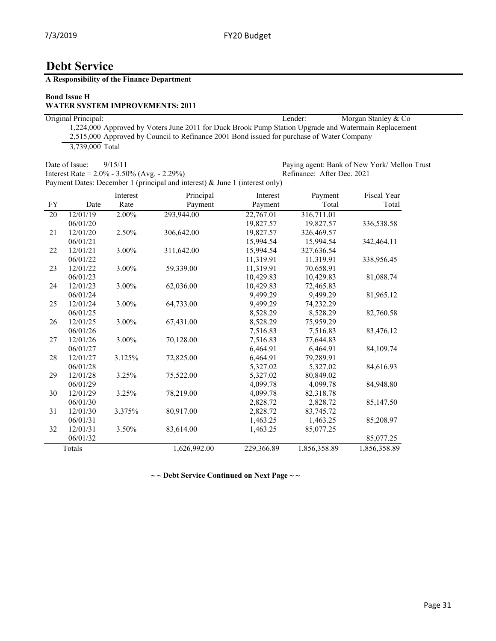**A Responsibility of the Finance Department**

## **Bond Issue H**

## **WATER SYSTEM IMPROVEMENTS: 2011**

| Original Principal:                                                                                  | Lender: | Morgan Stanley & Co |
|------------------------------------------------------------------------------------------------------|---------|---------------------|
| 1,224,000 Approved by Voters June 2011 for Duck Brook Pump Station Upgrade and Watermain Replacement |         |                     |
| 2,515,000 Approved by Council to Refinance 2001 Bond issued for purchase of Water Company            |         |                     |
| 3.739,000 Total                                                                                      |         |                     |

Date of Issue:  $9/15/11$ <br>
Paying agent: Bank of New York/ Mellon Trust<br>
Interest Rate = 2.0% - 3.50% (Avg. - 2.29%)<br>
Refinance: After Dec. 2021 Interest Rate =  $2.0\%$  -  $3.50\%$  (Avg. -  $2.29\%$ ) Payment Dates: December 1 (principal and interest) & June 1 (interest only)

|           |          | Interest | Principal    | Interest   | Payment      | Fiscal Year  |
|-----------|----------|----------|--------------|------------|--------------|--------------|
| <b>FY</b> | Date     | Rate     | Payment      | Payment    | Total        | Total        |
| 20        | 12/01/19 | 2.00%    | 293,944.00   | 22,767.01  | 316,711.01   |              |
|           | 06/01/20 |          |              | 19,827.57  | 19,827.57    | 336,538.58   |
| 21        | 12/01/20 | 2.50%    | 306,642.00   | 19,827.57  | 326,469.57   |              |
|           | 06/01/21 |          |              | 15,994.54  | 15,994.54    | 342,464.11   |
| 22        | 12/01/21 | 3.00%    | 311,642.00   | 15,994.54  | 327,636.54   |              |
|           | 06/01/22 |          |              | 11,319.91  | 11,319.91    | 338,956.45   |
| 23        | 12/01/22 | 3.00%    | 59,339.00    | 11,319.91  | 70,658.91    |              |
|           | 06/01/23 |          |              | 10,429.83  | 10,429.83    | 81,088.74    |
| 24        | 12/01/23 | 3.00%    | 62,036.00    | 10,429.83  | 72,465.83    |              |
|           | 06/01/24 |          |              | 9,499.29   | 9,499.29     | 81,965.12    |
| 25        | 12/01/24 | 3.00%    | 64,733.00    | 9,499.29   | 74,232.29    |              |
|           | 06/01/25 |          |              | 8,528.29   | 8,528.29     | 82,760.58    |
| 26        | 12/01/25 | 3.00%    | 67,431.00    | 8,528.29   | 75,959.29    |              |
|           | 06/01/26 |          |              | 7,516.83   | 7,516.83     | 83,476.12    |
| 27        | 12/01/26 | 3.00%    | 70,128.00    | 7,516.83   | 77,644.83    |              |
|           | 06/01/27 |          |              | 6,464.91   | 6,464.91     | 84,109.74    |
| 28        | 12/01/27 | 3.125%   | 72,825.00    | 6,464.91   | 79,289.91    |              |
|           | 06/01/28 |          |              | 5,327.02   | 5,327.02     | 84,616.93    |
| 29        | 12/01/28 | 3.25%    | 75,522.00    | 5,327.02   | 80,849.02    |              |
|           | 06/01/29 |          |              | 4,099.78   | 4,099.78     | 84,948.80    |
| 30        | 12/01/29 | 3.25%    | 78,219.00    | 4,099.78   | 82,318.78    |              |
|           | 06/01/30 |          |              | 2,828.72   | 2,828.72     | 85,147.50    |
| 31        | 12/01/30 | 3.375%   | 80,917.00    | 2,828.72   | 83,745.72    |              |
|           | 06/01/31 |          |              | 1,463.25   | 1,463.25     | 85,208.97    |
| 32        | 12/01/31 | 3.50%    | 83,614.00    | 1,463.25   | 85,077.25    |              |
|           | 06/01/32 |          |              |            |              | 85,077.25    |
|           | Totals   |          | 1,626,992.00 | 229,366.89 | 1,856,358.89 | 1,856,358.89 |

**~ ~ Debt Service Continued on Next Page ~ ~**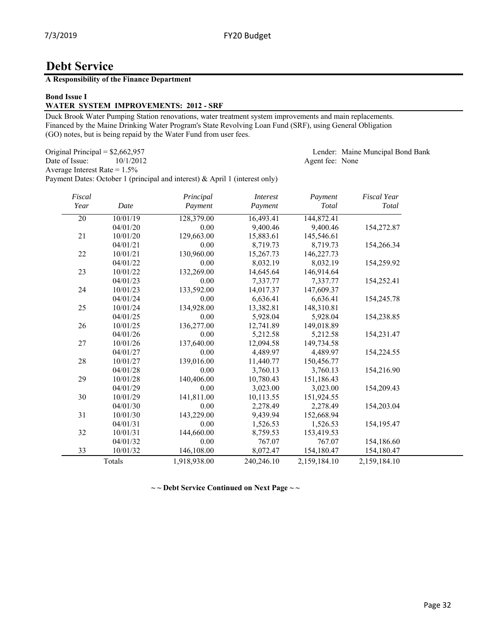## **A Responsibility of the Finance Department**

### **Bond Issue I**

## **WATER SYSTEM IMPROVEMENTS: 2012 - SRF**

Duck Brook Water Pumping Station renovations, water treatment system improvements and main replacements. Financed by the Maine Drinking Water Program's State Revolving Loan Fund (SRF), using General Obligation (GO) notes, but is being repaid by the Water Fund from user fees.

Original Principal = \$2,662,957 Lender: Maine Muncipal Bond Bank

Date of Issue: 10/1/2012 Agent fee: None

Average Interest Rate = 1.5% Payment Dates: October 1 (principal and interest) & April 1 (interest only)

| Fiscal<br>Year | Date     | Principal<br>Payment | <i>Interest</i><br>Payment | Payment<br>Total | <b>Fiscal Year</b><br><b>Total</b> |
|----------------|----------|----------------------|----------------------------|------------------|------------------------------------|
| 20             | 10/01/19 | 128,379.00           | 16,493.41                  | 144,872.41       |                                    |
|                | 04/01/20 | 0.00                 | 9,400.46                   | 9,400.46         | 154,272.87                         |
| 21             | 10/01/20 | 129,663.00           | 15,883.61                  | 145,546.61       |                                    |
|                | 04/01/21 | 0.00                 | 8,719.73                   | 8,719.73         | 154,266.34                         |
| 22             | 10/01/21 | 130,960.00           | 15,267.73                  | 146,227.73       |                                    |
|                | 04/01/22 | 0.00                 | 8,032.19                   | 8,032.19         | 154,259.92                         |
| 23             | 10/01/22 | 132,269.00           | 14,645.64                  | 146,914.64       |                                    |
|                | 04/01/23 | 0.00                 | 7,337.77                   | 7,337.77         | 154,252.41                         |
| 24             | 10/01/23 | 133,592.00           | 14,017.37                  | 147,609.37       |                                    |
|                | 04/01/24 | 0.00                 | 6,636.41                   | 6,636.41         | 154,245.78                         |
| 25             | 10/01/24 | 134,928.00           | 13,382.81                  | 148,310.81       |                                    |
|                | 04/01/25 | 0.00                 | 5,928.04                   | 5,928.04         | 154,238.85                         |
| 26             | 10/01/25 | 136,277.00           | 12,741.89                  | 149,018.89       |                                    |
|                | 04/01/26 | 0.00                 | 5,212.58                   | 5,212.58         | 154,231.47                         |
| 27             | 10/01/26 | 137,640.00           | 12,094.58                  | 149,734.58       |                                    |
|                | 04/01/27 | 0.00                 | 4.489.97                   | 4,489.97         | 154,224.55                         |
| 28             | 10/01/27 | 139,016.00           | 11,440.77                  | 150,456.77       |                                    |
|                | 04/01/28 | 0.00                 | 3,760.13                   | 3,760.13         | 154,216.90                         |
| 29             | 10/01/28 | 140,406.00           | 10,780.43                  | 151,186.43       |                                    |
|                | 04/01/29 | 0.00                 | 3,023.00                   | 3,023.00         | 154,209.43                         |
| 30             | 10/01/29 | 141,811.00           | 10,113.55                  | 151,924.55       |                                    |
|                | 04/01/30 | 0.00                 | 2,278.49                   | 2,278.49         | 154,203.04                         |
| 31             | 10/01/30 | 143,229.00           | 9,439.94                   | 152,668.94       |                                    |
|                | 04/01/31 | 0.00                 | 1,526.53                   | 1,526.53         | 154,195.47                         |
| 32             | 10/01/31 | 144,660.00           | 8,759.53                   | 153,419.53       |                                    |
|                | 04/01/32 | 0.00                 | 767.07                     | 767.07           | 154,186.60                         |
| 33             | 10/01/32 | 146,108.00           | 8,072.47                   | 154,180.47       | 154,180.47                         |
|                | Totals   | 1,918,938.00         | 240,246.10                 | 2,159,184.10     | 2,159,184.10                       |

**~ ~ Debt Service Continued on Next Page ~ ~**